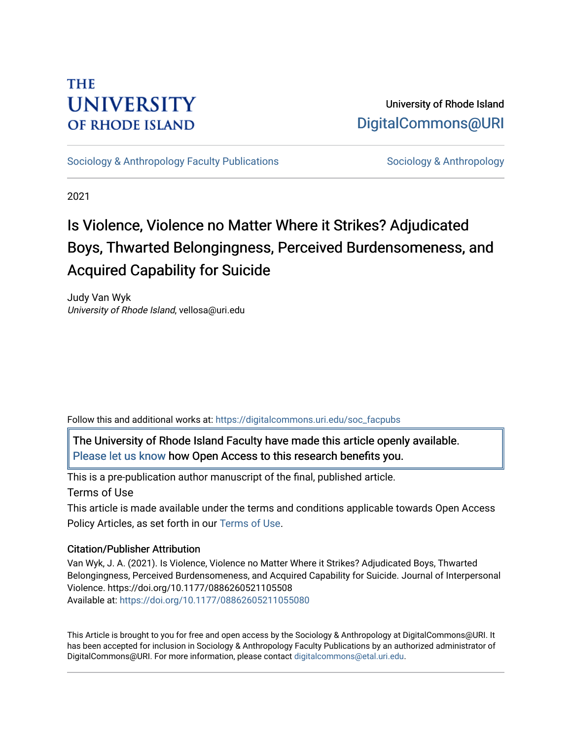# **THE UNIVERSITY OF RHODE ISLAND**

# University of Rhode Island [DigitalCommons@URI](https://digitalcommons.uri.edu/)

[Sociology & Anthropology Faculty Publications](https://digitalcommons.uri.edu/soc_facpubs) [Sociology & Anthropology](https://digitalcommons.uri.edu/soc) & Anthropology

2021

# Is Violence, Violence no Matter Where it Strikes? Adjudicated Boys, Thwarted Belongingness, Perceived Burdensomeness, and Acquired Capability for Suicide

Judy Van Wyk University of Rhode Island, vellosa@uri.edu

Follow this and additional works at: [https://digitalcommons.uri.edu/soc\\_facpubs](https://digitalcommons.uri.edu/soc_facpubs?utm_source=digitalcommons.uri.edu%2Fsoc_facpubs%2F42&utm_medium=PDF&utm_campaign=PDFCoverPages) 

The University of Rhode Island Faculty have made this article openly available. [Please let us know](http://web.uri.edu/library-digital-initiatives/open-access-online-form/) how Open Access to this research benefits you.

This is a pre-publication author manuscript of the final, published article.

Terms of Use

This article is made available under the terms and conditions applicable towards Open Access Policy Articles, as set forth in our [Terms of Use](https://digitalcommons.uri.edu/soc_facpubs/oa_policy_terms.html).

# Citation/Publisher Attribution

Van Wyk, J. A. (2021). Is Violence, Violence no Matter Where it Strikes? Adjudicated Boys, Thwarted Belongingness, Perceived Burdensomeness, and Acquired Capability for Suicide. Journal of Interpersonal Violence. https://doi.org/10.1177/0886260521105508 Available at: [https://doi.org/10.1177/08862605211055080](https://doi.org/10.1177%2F08862605211055080) 

This Article is brought to you for free and open access by the Sociology & Anthropology at DigitalCommons@URI. It has been accepted for inclusion in Sociology & Anthropology Faculty Publications by an authorized administrator of DigitalCommons@URI. For more information, please contact [digitalcommons@etal.uri.edu.](mailto:digitalcommons@etal.uri.edu)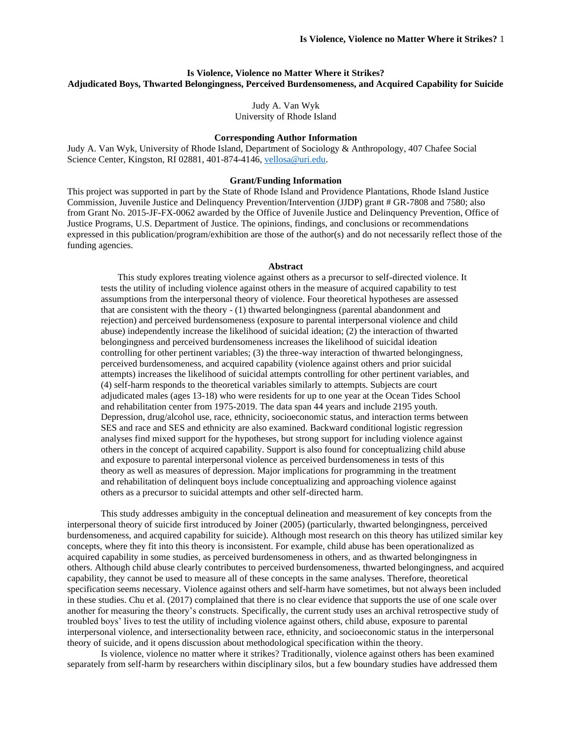### **Is Violence, Violence no Matter Where it Strikes? Adjudicated Boys, Thwarted Belongingness, Perceived Burdensomeness, and Acquired Capability for Suicide**

Judy A. Van Wyk University of Rhode Island

#### **Corresponding Author Information**

Judy A. Van Wyk, University of Rhode Island, Department of Sociology & Anthropology, 407 Chafee Social Science Center, Kingston, RI 02881, 401-874-4146, [vellosa@uri.edu.](mailto:vellosa@uri.edu)

### **Grant/Funding Information**

This project was supported in part by the State of Rhode Island and Providence Plantations, Rhode Island Justice Commission, Juvenile Justice and Delinquency Prevention/Intervention (JJDP) grant # GR-7808 and 7580; also from Grant No. 2015-JF-FX-0062 awarded by the Office of Juvenile Justice and Delinquency Prevention, Office of Justice Programs, U.S. Department of Justice. The opinions, findings, and conclusions or recommendations expressed in this publication/program/exhibition are those of the author(s) and do not necessarily reflect those of the funding agencies.

#### **Abstract**

This study explores treating violence against others as a precursor to self-directed violence. It tests the utility of including violence against others in the measure of acquired capability to test assumptions from the interpersonal theory of violence. Four theoretical hypotheses are assessed that are consistent with the theory - (1) thwarted belongingness (parental abandonment and rejection) and perceived burdensomeness (exposure to parental interpersonal violence and child abuse) independently increase the likelihood of suicidal ideation; (2) the interaction of thwarted belongingness and perceived burdensomeness increases the likelihood of suicidal ideation controlling for other pertinent variables; (3) the three-way interaction of thwarted belongingness, perceived burdensomeness, and acquired capability (violence against others and prior suicidal attempts) increases the likelihood of suicidal attempts controlling for other pertinent variables, and (4) self-harm responds to the theoretical variables similarly to attempts. Subjects are court adjudicated males (ages 13-18) who were residents for up to one year at the Ocean Tides School and rehabilitation center from 1975-2019. The data span 44 years and include 2195 youth. Depression, drug/alcohol use, race, ethnicity, socioeconomic status, and interaction terms between SES and race and SES and ethnicity are also examined. Backward conditional logistic regression analyses find mixed support for the hypotheses, but strong support for including violence against others in the concept of acquired capability. Support is also found for conceptualizing child abuse and exposure to parental interpersonal violence as perceived burdensomeness in tests of this theory as well as measures of depression. Major implications for programming in the treatment and rehabilitation of delinquent boys include conceptualizing and approaching violence against others as a precursor to suicidal attempts and other self-directed harm.

This study addresses ambiguity in the conceptual delineation and measurement of key concepts from the interpersonal theory of suicide first introduced by Joiner (2005) (particularly, thwarted belongingness, perceived burdensomeness, and acquired capability for suicide). Although most research on this theory has utilized similar key concepts, where they fit into this theory is inconsistent. For example, child abuse has been operationalized as acquired capability in some studies, as perceived burdensomeness in others, and as thwarted belongingness in others. Although child abuse clearly contributes to perceived burdensomeness, thwarted belongingness, and acquired capability, they cannot be used to measure all of these concepts in the same analyses. Therefore, theoretical specification seems necessary. Violence against others and self-harm have sometimes, but not always been included in these studies. Chu et al. (2017) complained that there is no clear evidence that supports the use of one scale over another for measuring the theory's constructs. Specifically, the current study uses an archival retrospective study of troubled boys' lives to test the utility of including violence against others, child abuse, exposure to parental interpersonal violence, and intersectionality between race, ethnicity, and socioeconomic status in the interpersonal theory of suicide, and it opens discussion about methodological specification within the theory.

Is violence, violence no matter where it strikes? Traditionally, violence against others has been examined separately from self-harm by researchers within disciplinary silos, but a few boundary studies have addressed them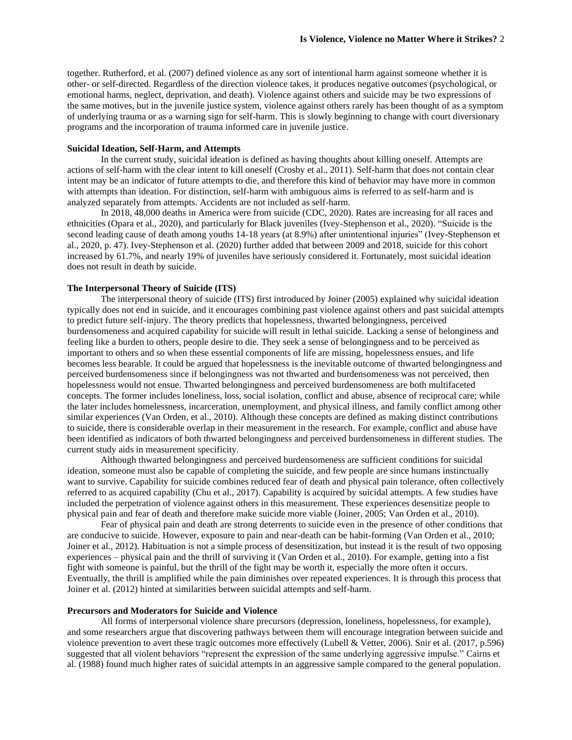together. Rutherford, et al. (2007) defined violence as any sort of intentional harm against someone whether it is other- or self-directed. Regardless of the direction violence takes, it produces negative outcomes (psychological, or emotional harms, neglect, deprivation, and death). Violence against others and suicide may be two expressions of the same motives, but in the juvenile justice system, violence against others rarely has been thought of as a symptom of underlying trauma or as a warning sign for self-harm. This is slowly beginning to change with court diversionary programs and the incorporation of trauma informed care in juvenile justice.

#### **Suicidal Ideation, Self-Harm, and Attempts**

In the current study, suicidal ideation is defined as having thoughts about killing oneself. Attempts are actions of self-harm with the clear intent to kill oneself (Crosby et al., 2011). Self-harm that does not contain clear intent may be an indicator of future attempts to die, and therefore this kind of behavior may have more in common with attempts than ideation. For distinction, self-harm with ambiguous aims is referred to as self-harm and is analyzed separately from attempts. Accidents are not included as self-harm.

In 2018, 48,000 deaths in America were from suicide (CDC, 2020). Rates are increasing for all races and ethnicities (Opara et al., 2020), and particularly for Black juveniles (Ivey-Stephenson et al., 2020). "Suicide is the second leading cause of death among youths 14-18 years (at 8.9%) after unintentional injuries" (Ivey-Stephenson et al., 2020, p. 47). Ivey-Stephenson et al. (2020) further added that between 2009 and 2018, suicide for this cohort increased by 61.7%, and nearly 19% of juveniles have seriously considered it. Fortunately, most suicidal ideation does not result in death by suicide.

#### **The Interpersonal Theory of Suicide (ITS)**

The interpersonal theory of suicide (ITS) first introduced by Joiner (2005) explained why suicidal ideation typically does not end in suicide, and it encourages combining past violence against others and past suicidal attempts to predict future self-injury. The theory predicts that hopelessness, thwarted belongingness, perceived burdensomeness and acquired capability for suicide will result in lethal suicide. Lacking a sense of belonginess and feeling like a burden to others, people desire to die. They seek a sense of belongingness and to be perceived as important to others and so when these essential components of life are missing, hopelessness ensues, and life becomes less bearable. It could be argued that hopelessness is the inevitable outcome of thwarted belongingness and perceived burdensomeness since if belongingness was not thwarted and burdensomeness was not perceived, then hopelessness would not ensue. Thwarted belongingness and perceived burdensomeness are both multifaceted concepts. The former includes loneliness, loss, social isolation, conflict and abuse, absence of reciprocal care; while the later includes homelessness, incarceration, unemployment, and physical illness, and family conflict among other similar experiences (Van Orden, et al., 2010). Although these concepts are defined as making distinct contributions to suicide, there is considerable overlap in their measurement in the research. For example, conflict and abuse have been identified as indicators of both thwarted belongingness and perceived burdensomeness in different studies. The current study aids in measurement specificity.

Although thwarted belongingness and perceived burdensomeness are sufficient conditions for suicidal ideation, someone must also be capable of completing the suicide, and few people are since humans instinctually want to survive. Capability for suicide combines reduced fear of death and physical pain tolerance, often collectively referred to as acquired capability (Chu et al., 2017). Capability is acquired by suicidal attempts. A few studies have included the perpetration of violence against others in this measurement. These experiences desensitize people to physical pain and fear of death and therefore make suicide more viable (Joiner, 2005; Van Orden et al., 2010).

Fear of physical pain and death are strong deterrents to suicide even in the presence of other conditions that are conducive to suicide. However, exposure to pain and near-death can be habit-forming (Van Orden et al., 2010; Joiner et al., 2012). Habituation is not a simple process of desensitization, but instead it is the result of two opposing experiences – physical pain and the thrill of surviving it (Van Orden et al., 2010). For example, getting into a fist fight with someone is painful, but the thrill of the fight may be worth it, especially the more often it occurs. Eventually, the thrill is amplified while the pain diminishes over repeated experiences. It is through this process that Joiner et al. (2012) hinted at similarities between suicidal attempts and self-harm.

#### **Precursors and Moderators for Suicide and Violence**

All forms of interpersonal violence share precursors (depression, loneliness, hopelessness, for example), and some researchers argue that discovering pathways between them will encourage integration between suicide and violence prevention to avert these tragic outcomes more effectively (Lubell & Vetter, 2006). Snir et al. (2017, p.596) suggested that all violent behaviors "represent the expression of the same underlying aggressive impulse." Cairns et al. (1988) found much higher rates of suicidal attempts in an aggressive sample compared to the general population.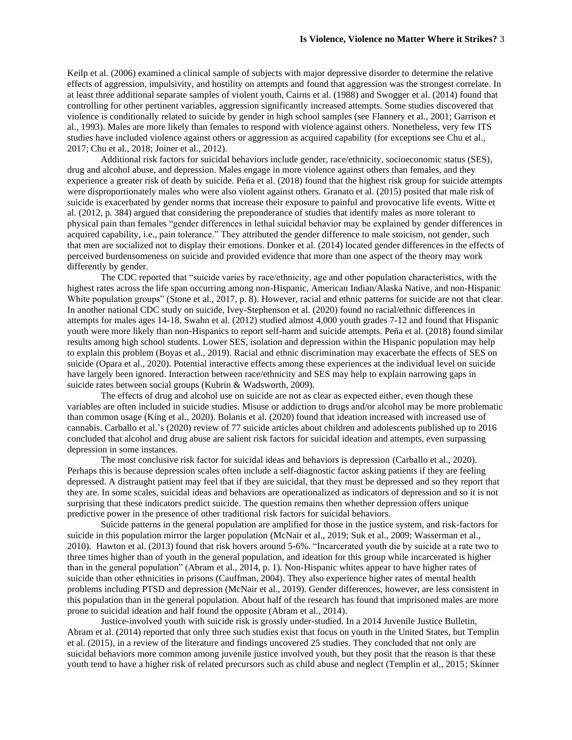Keilp et al. (2006) examined a clinical sample of subjects with major depressive disorder to determine the relative effects of aggression, impulsivity, and hostility on attempts and found that aggression was the strongest correlate. In at least three additional separate samples of violent youth, Cairns et al. (1988) and Swogger et al. (2014) found that controlling for other pertinent variables, aggression significantly increased attempts. Some studies discovered that violence is conditionally related to suicide by gender in high school samples (see Flannery et al., 2001; Garrison et al., 1993). Males are more likely than females to respond with violence against others. Nonetheless, very few ITS studies have included violence against others or aggression as acquired capability (for exceptions see Chu et al., 2017; Chu et al., 2018; Joiner et al., 2012).

Additional risk factors for suicidal behaviors include gender, race/ethnicity, socioeconomic status (SES), drug and alcohol abuse, and depression. Males engage in more violence against others than females, and they experience a greater risk of death by suicide. Peña et al. (2018) found that the highest risk group for suicide attempts were disproportionately males who were also violent against others. Granato et al. (2015) posited that male risk of suicide is exacerbated by gender norms that increase their exposure to painful and provocative life events. Witte et al. (2012, p. 384) argued that considering the preponderance of studies that identify males as more tolerant to physical pain than females "gender differences in lethal suicidal behavior may be explained by gender differences in acquired capability, i.e., pain tolerance." They attributed the gender difference to male stoicism, not gender, such that men are socialized not to display their emotions. Donker et al. (2014) located gender differences in the effects of perceived burdensomeness on suicide and provided evidence that more than one aspect of the theory may work differently by gender.

The CDC reported that "suicide varies by race/ethnicity, age and other population characteristics, with the highest rates across the life span occurring among non-Hispanic, American Indian/Alaska Native, and non-Hispanic White population groups" (Stone et al., 2017, p. 8). However, racial and ethnic patterns for suicide are not that clear. In another national CDC study on suicide, Ivey-Stephenson et al. (2020) found no racial/ethnic differences in attempts for males ages 14-18. Swahn et al. (2012) studied almost 4,000 youth grades 7-12 and found that Hispanic youth were more likely than non-Hispanics to report self-harm and suicide attempts. Peña et al. (2018) found similar results among high school students. Lower SES, isolation and depression within the Hispanic population may help to explain this problem (Boyas et al., 2019). Racial and ethnic discrimination may exacerbate the effects of SES on suicide (Opara et al., 2020). Potential interactive effects among these experiences at the individual level on suicide have largely been ignored. Interaction between race/ethnicity and SES may help to explain narrowing gaps in suicide rates between social groups (Kubrin & Wadsworth, 2009).

The effects of drug and alcohol use on suicide are not as clear as expected either, even though these variables are often included in suicide studies. Misuse or addiction to drugs and/or alcohol may be more problematic than common usage (King et al., 2020). Bolanis et al. (2020) found that ideation increased with increased use of cannabis. Carballo et al.'s (2020) review of 77 suicide articles about children and adolescents published up to 2016 concluded that alcohol and drug abuse are salient risk factors for suicidal ideation and attempts, even surpassing depression in some instances.

The most conclusive risk factor for suicidal ideas and behaviors is depression (Carballo et al., 2020). Perhaps this is because depression scales often include a self-diagnostic factor asking patients if they are feeling depressed. A distraught patient may feel that if they are suicidal, that they must be depressed and so they report that they are. In some scales, suicidal ideas and behaviors are operationalized as indicators of depression and so it is not surprising that these indicators predict suicide. The question remains then whether depression offers unique predictive power in the presence of other traditional risk factors for suicidal behaviors.

Suicide patterns in the general population are amplified for those in the justice system, and risk-factors for suicide in this population mirror the larger population (McNair et al., 2019; Suk et al., 2009; Wasserman et al., 2010). Hawton et al. (2013) found that risk hovers around 5-6%. "Incarcerated youth die by suicide at a rate two to three times higher than of youth in the general population, and ideation for this group while incarcerated is higher than in the general population" (Abram et al., 2014, p. 1). Non-Hispanic whites appear to have higher rates of suicide than other ethnicities in prisons (Cauffman, 2004). They also experience higher rates of mental health problems including PTSD and depression (McNair et al., 2019). Gender differences, however, are less consistent in this population than in the general population. About half of the research has found that imprisoned males are more prone to suicidal ideation and half found the opposite (Abram et al., 2014).

Justice-involved youth with suicide risk is grossly under-studied. In a 2014 Juvenile Justice Bulletin, Abram et al. (2014) reported that only three such studies exist that focus on youth in the United States, but Templin et al. (2015), in a review of the literature and findings uncovered 25 studies. They concluded that not only are suicidal behaviors more common among juvenile justice involved youth, but they posit that the reason is that these youth tend to have a higher risk of related precursors such as child abuse and neglect (Templin et al., 2015; Skinner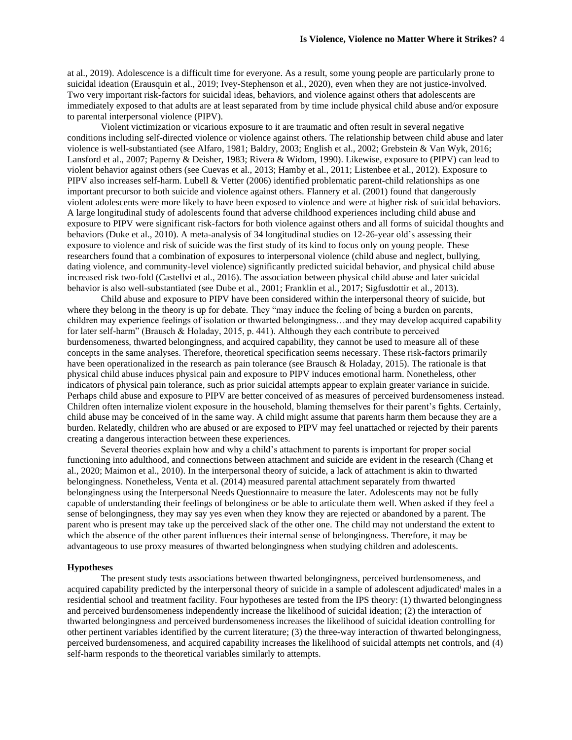at al., 2019). Adolescence is a difficult time for everyone. As a result, some young people are particularly prone to suicidal ideation (Erausquin et al., 2019; Ivey-Stephenson et al., 2020), even when they are not justice-involved. Two very important risk-factors for suicidal ideas, behaviors, and violence against others that adolescents are immediately exposed to that adults are at least separated from by time include physical child abuse and/or exposure to parental interpersonal violence (PIPV).

Violent victimization or vicarious exposure to it are traumatic and often result in several negative conditions including self-directed violence or violence against others. The relationship between child abuse and later violence is well-substantiated (see Alfaro, 1981; Baldry, 2003; English et al., 2002; Grebstein & Van Wyk, 2016; Lansford et al., 2007; Paperny & Deisher, 1983; Rivera & Widom, 1990). Likewise, exposure to (PIPV) can lead to violent behavior against others (see Cuevas et al., 2013; Hamby et al., 2011; Listenbee et al., 2012). Exposure to PIPV also increases self-harm. Lubell & Vetter (2006) identified problematic parent-child relationships as one important precursor to both suicide and violence against others. Flannery et al. (2001) found that dangerously violent adolescents were more likely to have been exposed to violence and were at higher risk of suicidal behaviors. A large longitudinal study of adolescents found that adverse childhood experiences including child abuse and exposure to PIPV were significant risk-factors for both violence against others and all forms of suicidal thoughts and behaviors (Duke et al., 2010). A meta-analysis of 34 longitudinal studies on 12-26-year old's assessing their exposure to violence and risk of suicide was the first study of its kind to focus only on young people. These researchers found that a combination of exposures to interpersonal violence (child abuse and neglect, bullying, dating violence, and community-level violence) significantly predicted suicidal behavior, and physical child abuse increased risk two-fold (Castellvi et al., 2016). The association between physical child abuse and later suicidal behavior is also well-substantiated (see Dube et al., 2001; Franklin et al., 2017; Sigfusdottir et al., 2013).

Child abuse and exposure to PIPV have been considered within the interpersonal theory of suicide, but where they belong in the theory is up for debate. They "may induce the feeling of being a burden on parents, children may experience feelings of isolation or thwarted belongingness…and they may develop acquired capability for later self-harm" (Brausch & Holaday, 2015, p. 441). Although they each contribute to perceived burdensomeness, thwarted belongingness, and acquired capability, they cannot be used to measure all of these concepts in the same analyses. Therefore, theoretical specification seems necessary. These risk-factors primarily have been operationalized in the research as pain tolerance (see Brausch & Holaday, 2015). The rationale is that physical child abuse induces physical pain and exposure to PIPV induces emotional harm. Nonetheless, other indicators of physical pain tolerance, such as prior suicidal attempts appear to explain greater variance in suicide. Perhaps child abuse and exposure to PIPV are better conceived of as measures of perceived burdensomeness instead. Children often internalize violent exposure in the household, blaming themselves for their parent's fights. Certainly, child abuse may be conceived of in the same way. A child might assume that parents harm them because they are a burden. Relatedly, children who are abused or are exposed to PIPV may feel unattached or rejected by their parents creating a dangerous interaction between these experiences.

Several theories explain how and why a child's attachment to parents is important for proper social functioning into adulthood, and connections between attachment and suicide are evident in the research (Chang et al., 2020; Maimon et al., 2010). In the interpersonal theory of suicide, a lack of attachment is akin to thwarted belongingness. Nonetheless, Venta et al. (2014) measured parental attachment separately from thwarted belongingness using the Interpersonal Needs Questionnaire to measure the later. Adolescents may not be fully capable of understanding their feelings of belonginess or be able to articulate them well. When asked if they feel a sense of belongingness, they may say yes even when they know they are rejected or abandoned by a parent. The parent who is present may take up the perceived slack of the other one. The child may not understand the extent to which the absence of the other parent influences their internal sense of belongingness. Therefore, it may be advantageous to use proxy measures of thwarted belongingness when studying children and adolescents.

#### **Hypotheses**

The present study tests associations between thwarted belongingness, perceived burdensomeness, and acquired capability predicted by the interpersonal theory of suicide in a sample of adolescent adjudicated<sup>i</sup> males in a residential school and treatment facility. Four hypotheses are tested from the IPS theory: (1) thwarted belongingness and perceived burdensomeness independently increase the likelihood of suicidal ideation; (2) the interaction of thwarted belongingness and perceived burdensomeness increases the likelihood of suicidal ideation controlling for other pertinent variables identified by the current literature; (3) the three-way interaction of thwarted belongingness, perceived burdensomeness, and acquired capability increases the likelihood of suicidal attempts net controls, and (4) self-harm responds to the theoretical variables similarly to attempts.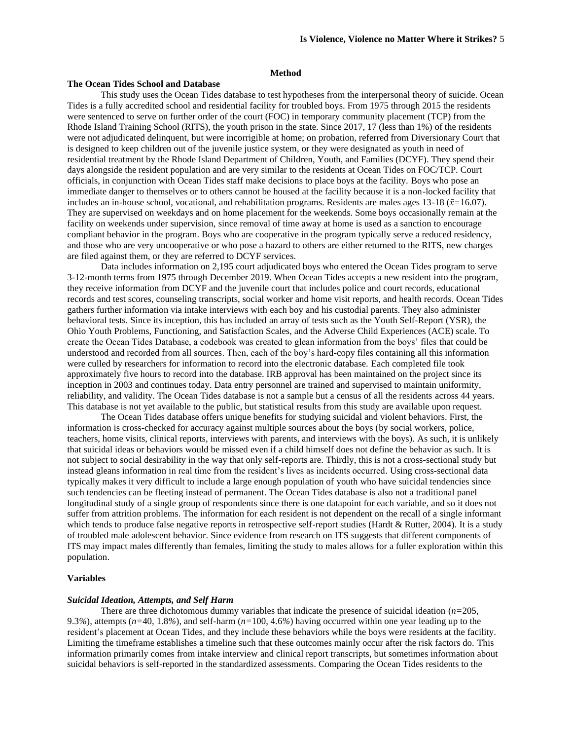#### **Method**

#### **The Ocean Tides School and Database**

This study uses the Ocean Tides database to test hypotheses from the interpersonal theory of suicide. Ocean Tides is a fully accredited school and residential facility for troubled boys. From 1975 through 2015 the residents were sentenced to serve on further order of the court (FOC) in temporary community placement (TCP) from the Rhode Island Training School (RITS), the youth prison in the state. Since 2017, 17 (less than 1%) of the residents were not adjudicated delinquent, but were incorrigible at home; on probation, referred from Diversionary Court that is designed to keep children out of the juvenile justice system, or they were designated as youth in need of residential treatment by the Rhode Island Department of Children, Youth, and Families (DCYF). They spend their days alongside the resident population and are very similar to the residents at Ocean Tides on FOC/TCP. Court officials, in conjunction with Ocean Tides staff make decisions to place boys at the facility. Boys who pose an immediate danger to themselves or to others cannot be housed at the facility because it is a non-locked facility that includes an in-house school, vocational, and rehabilitation programs. Residents are males ages 13-18 (*x̄=*16.07). They are supervised on weekdays and on home placement for the weekends. Some boys occasionally remain at the facility on weekends under supervision, since removal of time away at home is used as a sanction to encourage compliant behavior in the program. Boys who are cooperative in the program typically serve a reduced residency, and those who are very uncooperative or who pose a hazard to others are either returned to the RITS, new charges are filed against them, or they are referred to DCYF services.

Data includes information on 2,195 court adjudicated boys who entered the Ocean Tides program to serve 3-12-month terms from 1975 through December 2019. When Ocean Tides accepts a new resident into the program, they receive information from DCYF and the juvenile court that includes police and court records, educational records and test scores, counseling transcripts, social worker and home visit reports, and health records. Ocean Tides gathers further information via intake interviews with each boy and his custodial parents. They also administer behavioral tests. Since its inception, this has included an array of tests such as the Youth Self-Report (YSR), the Ohio Youth Problems, Functioning, and Satisfaction Scales, and the Adverse Child Experiences (ACE) scale. To create the Ocean Tides Database, a codebook was created to glean information from the boys' files that could be understood and recorded from all sources. Then, each of the boy's hard-copy files containing all this information were culled by researchers for information to record into the electronic database. Each completed file took approximately five hours to record into the database. IRB approval has been maintained on the project since its inception in 2003 and continues today. Data entry personnel are trained and supervised to maintain uniformity, reliability, and validity. The Ocean Tides database is not a sample but a census of all the residents across 44 years. This database is not yet available to the public, but statistical results from this study are available upon request.

The Ocean Tides database offers unique benefits for studying suicidal and violent behaviors. First, the information is cross-checked for accuracy against multiple sources about the boys (by social workers, police, teachers, home visits, clinical reports, interviews with parents, and interviews with the boys). As such, it is unlikely that suicidal ideas or behaviors would be missed even if a child himself does not define the behavior as such. It is not subject to social desirability in the way that only self-reports are. Thirdly, this is not a cross-sectional study but instead gleans information in real time from the resident's lives as incidents occurred. Using cross-sectional data typically makes it very difficult to include a large enough population of youth who have suicidal tendencies since such tendencies can be fleeting instead of permanent. The Ocean Tides database is also not a traditional panel longitudinal study of a single group of respondents since there is one datapoint for each variable, and so it does not suffer from attrition problems. The information for each resident is not dependent on the recall of a single informant which tends to produce false negative reports in retrospective self-report studies (Hardt & Rutter, 2004). It is a study of troubled male adolescent behavior. Since evidence from research on ITS suggests that different components of ITS may impact males differently than females, limiting the study to males allows for a fuller exploration within this population.

#### **Variables**

#### *Suicidal Ideation, Attempts, and Self Harm*

There are three dichotomous dummy variables that indicate the presence of suicidal ideation (*n=*205, 9.3*%*), attempts (*n=*40, 1.8*%*), and self-harm (*n=*100, 4.6*%*) having occurred within one year leading up to the resident's placement at Ocean Tides, and they include these behaviors while the boys were residents at the facility. Limiting the timeframe establishes a timeline such that these outcomes mainly occur after the risk factors do. This information primarily comes from intake interview and clinical report transcripts, but sometimes information about suicidal behaviors is self-reported in the standardized assessments. Comparing the Ocean Tides residents to the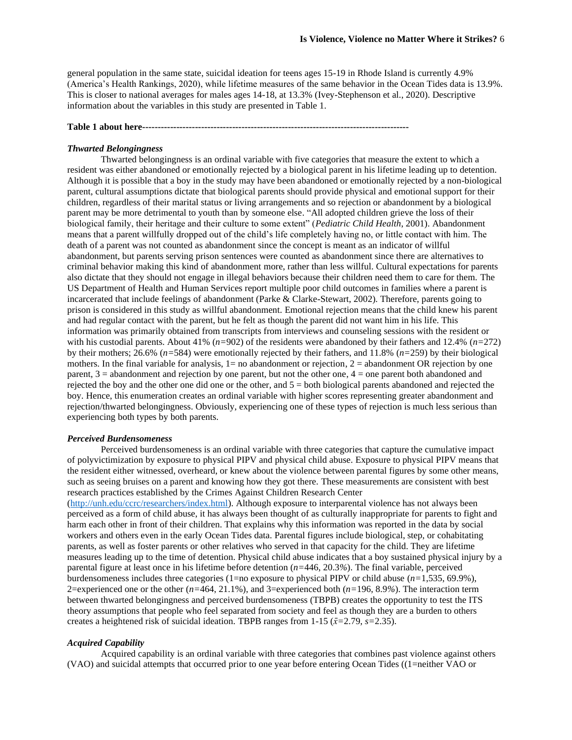general population in the same state, suicidal ideation for teens ages 15-19 in Rhode Island is currently 4.9% (America's Health Rankings, 2020), while lifetime measures of the same behavior in the Ocean Tides data is 13.9%. This is closer to national averages for males ages 14-18, at 13.3% (Ivey-Stephenson et al., 2020). Descriptive information about the variables in this study are presented in Table 1.

#### **Table 1 about here--------------------------------------------------------------------------------------**

#### *Thwarted Belongingness*

Thwarted belongingness is an ordinal variable with five categories that measure the extent to which a resident was either abandoned or emotionally rejected by a biological parent in his lifetime leading up to detention. Although it is possible that a boy in the study may have been abandoned or emotionally rejected by a non-biological parent, cultural assumptions dictate that biological parents should provide physical and emotional support for their children, regardless of their marital status or living arrangements and so rejection or abandonment by a biological parent may be more detrimental to youth than by someone else. "All adopted children grieve the loss of their biological family, their heritage and their culture to some extent" (*Pediatric Child Health*, 2001). Abandonment means that a parent willfully dropped out of the child's life completely having no, or little contact with him. The death of a parent was not counted as abandonment since the concept is meant as an indicator of willful abandonment, but parents serving prison sentences were counted as abandonment since there are alternatives to criminal behavior making this kind of abandonment more, rather than less willful. Cultural expectations for parents also dictate that they should not engage in illegal behaviors because their children need them to care for them. The US Department of Health and Human Services report multiple poor child outcomes in families where a parent is incarcerated that include feelings of abandonment (Parke & Clarke-Stewart, 2002). Therefore, parents going to prison is considered in this study as willful abandonment. Emotional rejection means that the child knew his parent and had regular contact with the parent, but he felt as though the parent did not want him in his life. This information was primarily obtained from transcripts from interviews and counseling sessions with the resident or with his custodial parents. About 41% (*n=*902) of the residents were abandoned by their fathers and 12.4% (*n=*272) by their mothers; 26.6% (*n=*584) were emotionally rejected by their fathers, and 11.8% (*n=*259) by their biological mothers. In the final variable for analysis,  $1=$  no abandonment or rejection,  $2 =$  abandonment OR rejection by one parent, 3 = abandonment and rejection by one parent, but not the other one, 4 = one parent both abandoned and rejected the boy and the other one did one or the other, and  $5 =$  both biological parents abandoned and rejected the boy. Hence, this enumeration creates an ordinal variable with higher scores representing greater abandonment and rejection/thwarted belongingness. Obviously, experiencing one of these types of rejection is much less serious than experiencing both types by both parents.

#### *Perceived Burdensomeness*

Perceived burdensomeness is an ordinal variable with three categories that capture the cumulative impact of polyvictimization by exposure to physical PIPV and physical child abuse. Exposure to physical PIPV means that the resident either witnessed, overheard, or knew about the violence between parental figures by some other means, such as seeing bruises on a parent and knowing how they got there. These measurements are consistent with best research practices established by the Crimes Against Children Research Center

[\(http://unh.edu/ccrc/researchers/index.html\)](http://unh.edu/ccrc/researchers/index.html). Although exposure to interparental violence has not always been perceived as a form of child abuse, it has always been thought of as culturally inappropriate for parents to fight and harm each other in front of their children. That explains why this information was reported in the data by social workers and others even in the early Ocean Tides data. Parental figures include biological, step, or cohabitating parents, as well as foster parents or other relatives who served in that capacity for the child. They are lifetime measures leading up to the time of detention. Physical child abuse indicates that a boy sustained physical injury by a parental figure at least once in his lifetime before detention (*n=*446, 20.3*%*). The final variable, perceived burdensomeness includes three categories (1=no exposure to physical PIPV or child abuse (*n=*1,535, 69.9%), 2=experienced one or the other (*n=*464, 21.1%), and 3=experienced both (*n=*196, 8.9*%*). The interaction term between thwarted belongingness and perceived burdensomeness (TBPB) creates the opportunity to test the ITS theory assumptions that people who feel separated from society and feel as though they are a burden to others creates a heightened risk of suicidal ideation. TBPB ranges from 1-15 (*x̄=*2.79, *s=*2.35).

#### *Acquired Capability*

Acquired capability is an ordinal variable with three categories that combines past violence against others (VAO) and suicidal attempts that occurred prior to one year before entering Ocean Tides ((1=neither VAO or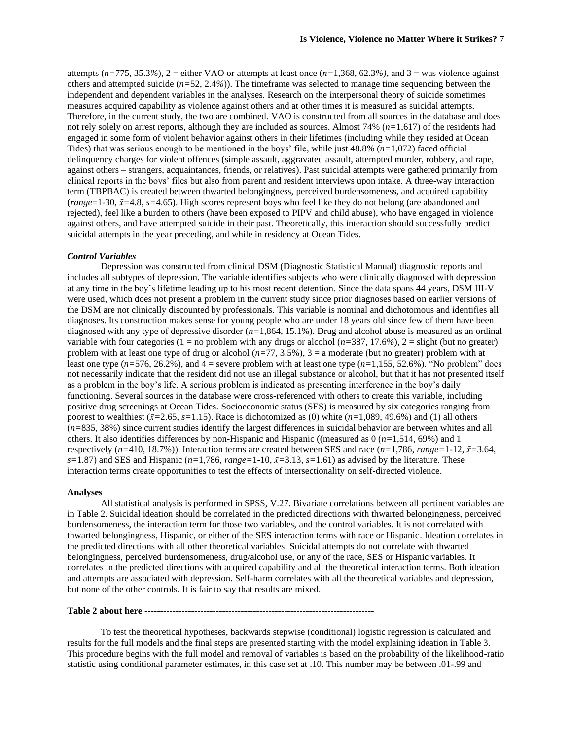attempts  $(n=775, 35.3%)$ ,  $2 =$  either VAO or attempts at least once  $(n=1,368, 62.3%)$ , and  $3 =$  was violence against others and attempted suicide (*n=*52, 2.4*%*)). The timeframe was selected to manage time sequencing between the independent and dependent variables in the analyses. Research on the interpersonal theory of suicide sometimes measures acquired capability as violence against others and at other times it is measured as suicidal attempts. Therefore, in the current study, the two are combined. VAO is constructed from all sources in the database and does not rely solely on arrest reports, although they are included as sources. Almost 74% (*n=*1,617) of the residents had engaged in some form of violent behavior against others in their lifetimes (including while they resided at Ocean Tides) that was serious enough to be mentioned in the boys' file, while just 48.8% (*n=*1,072) faced official delinquency charges for violent offences (simple assault, aggravated assault, attempted murder, robbery, and rape, against others – strangers, acquaintances, friends, or relatives). Past suicidal attempts were gathered primarily from clinical reports in the boys' files but also from parent and resident interviews upon intake. A three-way interaction term (TBPBAC) is created between thwarted belongingness, perceived burdensomeness, and acquired capability (*range*=1-30, *x̄=*4.8, *s=*4.65). High scores represent boys who feel like they do not belong (are abandoned and rejected), feel like a burden to others (have been exposed to PIPV and child abuse), who have engaged in violence against others, and have attempted suicide in their past. Theoretically, this interaction should successfully predict suicidal attempts in the year preceding, and while in residency at Ocean Tides.

#### *Control Variables*

Depression was constructed from clinical DSM (Diagnostic Statistical Manual) diagnostic reports and includes all subtypes of depression. The variable identifies subjects who were clinically diagnosed with depression at any time in the boy's lifetime leading up to his most recent detention. Since the data spans 44 years, DSM III-V were used, which does not present a problem in the current study since prior diagnoses based on earlier versions of the DSM are not clinically discounted by professionals. This variable is nominal and dichotomous and identifies all diagnoses. Its construction makes sense for young people who are under 18 years old since few of them have been diagnosed with any type of depressive disorder (*n=*1,864, 15.1%). Drug and alcohol abuse is measured as an ordinal variable with four categories (1 = no problem with any drugs or alcohol  $(n=387, 17.6\%)$ , 2 = slight (but no greater) problem with at least one type of drug or alcohol (*n=*77, 3.5%), 3 = a moderate (but no greater) problem with at least one type  $(n=576, 26.2\%)$ , and  $4 =$  severe problem with at least one type  $(n=1,155, 52.6\%)$ . "No problem" does not necessarily indicate that the resident did not use an illegal substance or alcohol, but that it has not presented itself as a problem in the boy's life. A serious problem is indicated as presenting interference in the boy's daily functioning. Several sources in the database were cross-referenced with others to create this variable, including positive drug screenings at Ocean Tides. Socioeconomic status (SES) is measured by six categories ranging from poorest to wealthiest  $(\bar{x}=2.65, s=1.15)$ . Race is dichotomized as (0) white  $(n=1,089, 49.6%)$  and (1) all others (*n=*835, 38%) since current studies identify the largest differences in suicidal behavior are between whites and all others. It also identifies differences by non-Hispanic and Hispanic ((measured as 0 (*n=*1,514, 69%) and 1 respectively  $(n=410, 18.7\%)$ . Interaction terms are created between SES and race  $(n=1,786, range=1-12, \bar{x}=3.64,$  $s=1.87$ ) and SES and Hispanic ( $n=1,786$ ,  $range=1-10$ ,  $\bar{x}=3.13$ ,  $s=1.61$ ) as advised by the literature. These interaction terms create opportunities to test the effects of intersectionality on self-directed violence.

#### **Analyses**

All statistical analysis is performed in SPSS, V.27. Bivariate correlations between all pertinent variables are in Table 2. Suicidal ideation should be correlated in the predicted directions with thwarted belongingness, perceived burdensomeness, the interaction term for those two variables, and the control variables. It is not correlated with thwarted belongingness, Hispanic, or either of the SES interaction terms with race or Hispanic. Ideation correlates in the predicted directions with all other theoretical variables. Suicidal attempts do not correlate with thwarted belongingness, perceived burdensomeness, drug/alcohol use, or any of the race, SES or Hispanic variables. It correlates in the predicted directions with acquired capability and all the theoretical interaction terms. Both ideation and attempts are associated with depression. Self-harm correlates with all the theoretical variables and depression, but none of the other controls. It is fair to say that results are mixed.

#### **Table 2 about here --------------------------------------------------------------------------**

To test the theoretical hypotheses, backwards stepwise (conditional) logistic regression is calculated and results for the full models and the final steps are presented starting with the model explaining ideation in Table 3. This procedure begins with the full model and removal of variables is based on the probability of the likelihood-ratio statistic using conditional parameter estimates, in this case set at .10. This number may be between .01-.99 and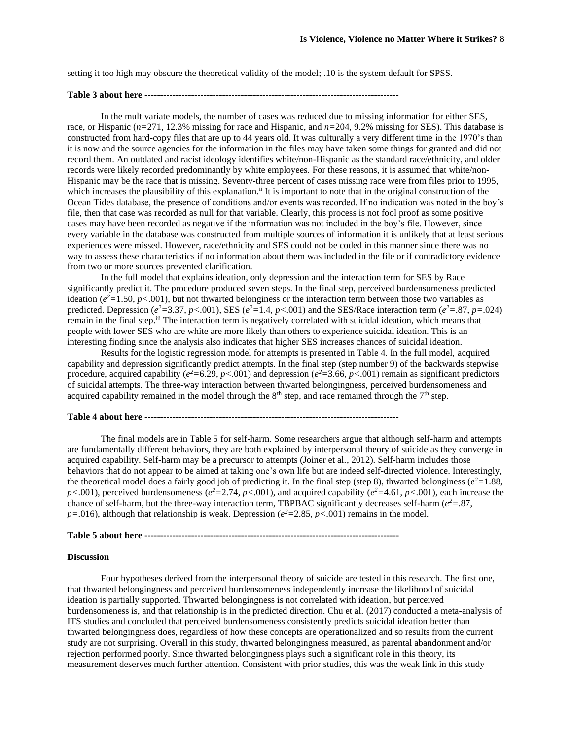setting it too high may obscure the theoretical validity of the model; .10 is the system default for SPSS.

## **Table 3 about here ----------------------------------------------------------------------------------**

In the multivariate models, the number of cases was reduced due to missing information for either SES, race, or Hispanic (*n=*271, 12.3% missing for race and Hispanic, and *n=*204, 9.2% missing for SES). This database is constructed from hard-copy files that are up to 44 years old. It was culturally a very different time in the 1970's than it is now and the source agencies for the information in the files may have taken some things for granted and did not record them. An outdated and racist ideology identifies white/non-Hispanic as the standard race/ethnicity, and older records were likely recorded predominantly by white employees. For these reasons, it is assumed that white/non-Hispanic may be the race that is missing. Seventy-three percent of cases missing race were from files prior to 1995, which increases the plausibility of this explanation.<sup>ii</sup> It is important to note that in the original construction of the Ocean Tides database, the presence of conditions and/or events was recorded. If no indication was noted in the boy's file, then that case was recorded as null for that variable. Clearly, this process is not fool proof as some positive cases may have been recorded as negative if the information was not included in the boy's file. However, since every variable in the database was constructed from multiple sources of information it is unlikely that at least serious experiences were missed. However, race/ethnicity and SES could not be coded in this manner since there was no way to assess these characteristics if no information about them was included in the file or if contradictory evidence from two or more sources prevented clarification.

In the full model that explains ideation, only depression and the interaction term for SES by Race significantly predict it. The procedure produced seven steps. In the final step, perceived burdensomeness predicted ideation ( $e^2 = 1.50$ ,  $p < .001$ ), but not thwarted belonginess or the interaction term between those two variables as predicted. Depression ( $e^2$ =3.37,  $p$ <.001), SES ( $e^2$ =1.4,  $p$ <.001) and the SES/Race interaction term ( $e^2$ =.87,  $p$ =.024) remain in the final step.<sup>iii</sup> The interaction term is negatively correlated with suicidal ideation, which means that people with lower SES who are white are more likely than others to experience suicidal ideation. This is an interesting finding since the analysis also indicates that higher SES increases chances of suicidal ideation.

Results for the logistic regression model for attempts is presented in Table 4. In the full model, acquired capability and depression significantly predict attempts. In the final step (step number 9) of the backwards stepwise procedure, acquired capability ( $e^2 = 6.29$ ,  $p < .001$ ) and depression ( $e^2 = 3.66$ ,  $p < .001$ ) remain as significant predictors of suicidal attempts. The three-way interaction between thwarted belongingness, perceived burdensomeness and acquired capability remained in the model through the  $8<sup>th</sup>$  step, and race remained through the  $7<sup>th</sup>$  step.

#### **Table 4 about here ----------------------------------------------------------------------------------**

The final models are in Table 5 for self-harm. Some researchers argue that although self-harm and attempts are fundamentally different behaviors, they are both explained by interpersonal theory of suicide as they converge in acquired capability. Self-harm may be a precursor to attempts (Joiner et al., 2012). Self-harm includes those behaviors that do not appear to be aimed at taking one's own life but are indeed self-directed violence. Interestingly, the theoretical model does a fairly good job of predicting it. In the final step (step 8), thwarted belonginess ( $e^2 = 1.88$ , *p*<.001), perceived burdensomeness ( $e^2 = 2.74$ ,  $p < .001$ ), and acquired capability ( $e^2 = 4.61$ ,  $p < .001$ ), each increase the chance of self-harm, but the three-way interaction term, TBPBAC significantly decreases self-harm ( $e^2 = .87$ ,  $p = 0.016$ ), although that relationship is weak. Depression ( $e^2 = 2.85$ ,  $p < 0.001$ ) remains in the model.

#### **Table 5 about here ----------------------------------------------------------------------------------**

#### **Discussion**

Four hypotheses derived from the interpersonal theory of suicide are tested in this research. The first one, that thwarted belongingness and perceived burdensomeness independently increase the likelihood of suicidal ideation is partially supported. Thwarted belongingness is not correlated with ideation, but perceived burdensomeness is, and that relationship is in the predicted direction. Chu et al. (2017) conducted a meta-analysis of ITS studies and concluded that perceived burdensomeness consistently predicts suicidal ideation better than thwarted belongingness does, regardless of how these concepts are operationalized and so results from the current study are not surprising. Overall in this study, thwarted belongingness measured, as parental abandonment and/or rejection performed poorly. Since thwarted belongingness plays such a significant role in this theory, its measurement deserves much further attention. Consistent with prior studies, this was the weak link in this study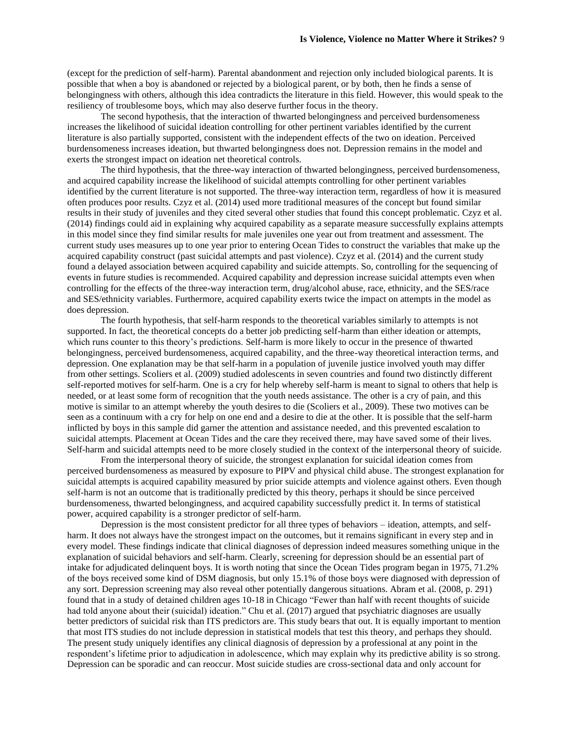(except for the prediction of self-harm). Parental abandonment and rejection only included biological parents. It is possible that when a boy is abandoned or rejected by a biological parent, or by both, then he finds a sense of belongingness with others, although this idea contradicts the literature in this field. However, this would speak to the resiliency of troublesome boys, which may also deserve further focus in the theory.

The second hypothesis, that the interaction of thwarted belongingness and perceived burdensomeness increases the likelihood of suicidal ideation controlling for other pertinent variables identified by the current literature is also partially supported, consistent with the independent effects of the two on ideation. Perceived burdensomeness increases ideation, but thwarted belongingness does not. Depression remains in the model and exerts the strongest impact on ideation net theoretical controls.

The third hypothesis, that the three-way interaction of thwarted belongingness, perceived burdensomeness, and acquired capability increase the likelihood of suicidal attempts controlling for other pertinent variables identified by the current literature is not supported. The three-way interaction term, regardless of how it is measured often produces poor results. Czyz et al. (2014) used more traditional measures of the concept but found similar results in their study of juveniles and they cited several other studies that found this concept problematic. Czyz et al. (2014) findings could aid in explaining why acquired capability as a separate measure successfully explains attempts in this model since they find similar results for male juveniles one year out from treatment and assessment. The current study uses measures up to one year prior to entering Ocean Tides to construct the variables that make up the acquired capability construct (past suicidal attempts and past violence). Czyz et al. (2014) and the current study found a delayed association between acquired capability and suicide attempts. So, controlling for the sequencing of events in future studies is recommended. Acquired capability and depression increase suicidal attempts even when controlling for the effects of the three-way interaction term, drug/alcohol abuse, race, ethnicity, and the SES/race and SES/ethnicity variables. Furthermore, acquired capability exerts twice the impact on attempts in the model as does depression.

The fourth hypothesis, that self-harm responds to the theoretical variables similarly to attempts is not supported. In fact, the theoretical concepts do a better job predicting self-harm than either ideation or attempts, which runs counter to this theory's predictions. Self-harm is more likely to occur in the presence of thwarted belongingness, perceived burdensomeness, acquired capability, and the three-way theoretical interaction terms, and depression. One explanation may be that self-harm in a population of juvenile justice involved youth may differ from other settings. Scoliers et al. (2009) studied adolescents in seven countries and found two distinctly different self-reported motives for self-harm. One is a cry for help whereby self-harm is meant to signal to others that help is needed, or at least some form of recognition that the youth needs assistance. The other is a cry of pain, and this motive is similar to an attempt whereby the youth desires to die (Scoliers et al., 2009). These two motives can be seen as a continuum with a cry for help on one end and a desire to die at the other. It is possible that the self-harm inflicted by boys in this sample did garner the attention and assistance needed, and this prevented escalation to suicidal attempts. Placement at Ocean Tides and the care they received there, may have saved some of their lives. Self-harm and suicidal attempts need to be more closely studied in the context of the interpersonal theory of suicide.

From the interpersonal theory of suicide, the strongest explanation for suicidal ideation comes from perceived burdensomeness as measured by exposure to PIPV and physical child abuse. The strongest explanation for suicidal attempts is acquired capability measured by prior suicide attempts and violence against others. Even though self-harm is not an outcome that is traditionally predicted by this theory, perhaps it should be since perceived burdensomeness, thwarted belongingness, and acquired capability successfully predict it. In terms of statistical power, acquired capability is a stronger predictor of self-harm.

Depression is the most consistent predictor for all three types of behaviors – ideation, attempts, and selfharm. It does not always have the strongest impact on the outcomes, but it remains significant in every step and in every model. These findings indicate that clinical diagnoses of depression indeed measures something unique in the explanation of suicidal behaviors and self-harm. Clearly, screening for depression should be an essential part of intake for adjudicated delinquent boys. It is worth noting that since the Ocean Tides program began in 1975, 71.2% of the boys received some kind of DSM diagnosis, but only 15.1% of those boys were diagnosed with depression of any sort. Depression screening may also reveal other potentially dangerous situations. Abram et al. (2008, p. 291) found that in a study of detained children ages 10-18 in Chicago "Fewer than half with recent thoughts of suicide had told anyone about their (suicidal) ideation." Chu et al. (2017) argued that psychiatric diagnoses are usually better predictors of suicidal risk than ITS predictors are. This study bears that out. It is equally important to mention that most ITS studies do not include depression in statistical models that test this theory, and perhaps they should. The present study uniquely identifies any clinical diagnosis of depression by a professional at any point in the respondent's lifetime prior to adjudication in adolescence, which may explain why its predictive ability is so strong. Depression can be sporadic and can reoccur. Most suicide studies are cross-sectional data and only account for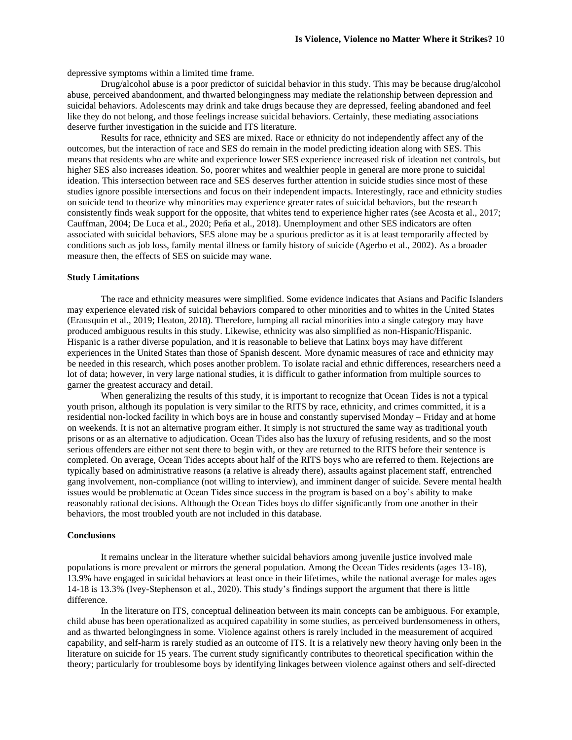depressive symptoms within a limited time frame.

Drug/alcohol abuse is a poor predictor of suicidal behavior in this study. This may be because drug/alcohol abuse, perceived abandonment, and thwarted belongingness may mediate the relationship between depression and suicidal behaviors. Adolescents may drink and take drugs because they are depressed, feeling abandoned and feel like they do not belong, and those feelings increase suicidal behaviors. Certainly, these mediating associations deserve further investigation in the suicide and ITS literature.

Results for race, ethnicity and SES are mixed. Race or ethnicity do not independently affect any of the outcomes, but the interaction of race and SES do remain in the model predicting ideation along with SES. This means that residents who are white and experience lower SES experience increased risk of ideation net controls, but higher SES also increases ideation. So, poorer whites and wealthier people in general are more prone to suicidal ideation. This intersection between race and SES deserves further attention in suicide studies since most of these studies ignore possible intersections and focus on their independent impacts. Interestingly, race and ethnicity studies on suicide tend to theorize why minorities may experience greater rates of suicidal behaviors, but the research consistently finds weak support for the opposite, that whites tend to experience higher rates (see Acosta et al., 2017; Cauffman, 2004; De Luca et al., 2020; Peña et al., 2018). Unemployment and other SES indicators are often associated with suicidal behaviors, SES alone may be a spurious predictor as it is at least temporarily affected by conditions such as job loss, family mental illness or family history of suicide (Agerbo et al., 2002). As a broader measure then, the effects of SES on suicide may wane.

#### **Study Limitations**

The race and ethnicity measures were simplified. Some evidence indicates that Asians and Pacific Islanders may experience elevated risk of suicidal behaviors compared to other minorities and to whites in the United States (Erausquin et al., 2019; Heaton, 2018). Therefore, lumping all racial minorities into a single category may have produced ambiguous results in this study. Likewise, ethnicity was also simplified as non-Hispanic/Hispanic. Hispanic is a rather diverse population, and it is reasonable to believe that Latinx boys may have different experiences in the United States than those of Spanish descent. More dynamic measures of race and ethnicity may be needed in this research, which poses another problem. To isolate racial and ethnic differences, researchers need a lot of data; however, in very large national studies, it is difficult to gather information from multiple sources to garner the greatest accuracy and detail.

When generalizing the results of this study, it is important to recognize that Ocean Tides is not a typical youth prison, although its population is very similar to the RITS by race, ethnicity, and crimes committed, it is a residential non-locked facility in which boys are in house and constantly supervised Monday – Friday and at home on weekends. It is not an alternative program either. It simply is not structured the same way as traditional youth prisons or as an alternative to adjudication. Ocean Tides also has the luxury of refusing residents, and so the most serious offenders are either not sent there to begin with, or they are returned to the RITS before their sentence is completed. On average, Ocean Tides accepts about half of the RITS boys who are referred to them. Rejections are typically based on administrative reasons (a relative is already there), assaults against placement staff, entrenched gang involvement, non-compliance (not willing to interview), and imminent danger of suicide. Severe mental health issues would be problematic at Ocean Tides since success in the program is based on a boy's ability to make reasonably rational decisions. Although the Ocean Tides boys do differ significantly from one another in their behaviors, the most troubled youth are not included in this database.

#### **Conclusions**

It remains unclear in the literature whether suicidal behaviors among juvenile justice involved male populations is more prevalent or mirrors the general population. Among the Ocean Tides residents (ages 13-18), 13.9% have engaged in suicidal behaviors at least once in their lifetimes, while the national average for males ages 14-18 is 13.3% (Ivey-Stephenson et al., 2020). This study's findings support the argument that there is little difference.

In the literature on ITS, conceptual delineation between its main concepts can be ambiguous. For example, child abuse has been operationalized as acquired capability in some studies, as perceived burdensomeness in others, and as thwarted belongingness in some. Violence against others is rarely included in the measurement of acquired capability, and self-harm is rarely studied as an outcome of ITS. It is a relatively new theory having only been in the literature on suicide for 15 years. The current study significantly contributes to theoretical specification within the theory; particularly for troublesome boys by identifying linkages between violence against others and self-directed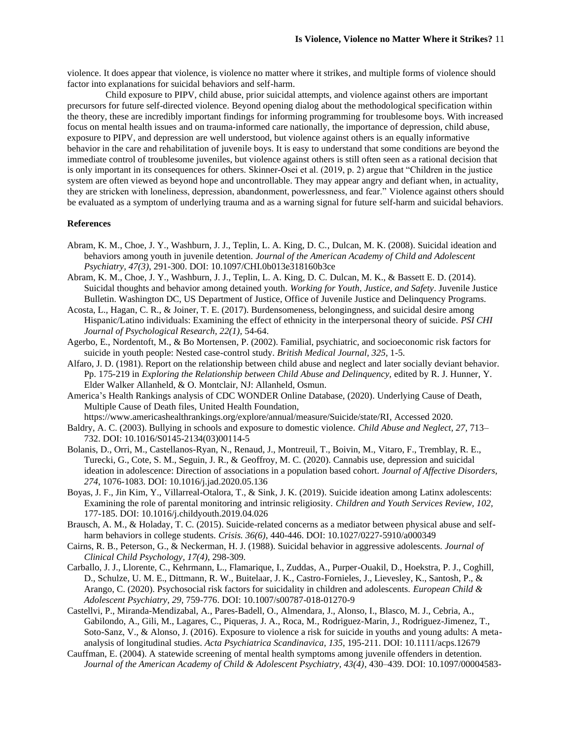violence. It does appear that violence, is violence no matter where it strikes, and multiple forms of violence should factor into explanations for suicidal behaviors and self-harm.

 Child exposure to PIPV, child abuse, prior suicidal attempts, and violence against others are important precursors for future self-directed violence. Beyond opening dialog about the methodological specification within the theory, these are incredibly important findings for informing programming for troublesome boys. With increased focus on mental health issues and on trauma-informed care nationally, the importance of depression, child abuse, exposure to PIPV, and depression are well understood, but violence against others is an equally informative behavior in the care and rehabilitation of juvenile boys. It is easy to understand that some conditions are beyond the immediate control of troublesome juveniles, but violence against others is still often seen as a rational decision that is only important in its consequences for others. Skinner-Osei et al. (2019, p. 2) argue that "Children in the justice system are often viewed as beyond hope and uncontrollable. They may appear angry and defiant when, in actuality, they are stricken with loneliness, depression, abandonment, powerlessness, and fear." Violence against others should be evaluated as a symptom of underlying trauma and as a warning signal for future self-harm and suicidal behaviors.

#### **References**

- Abram, K. M., Choe, J. Y., Washburn, J. J., Teplin, L. A. King, D. C., Dulcan, M. K. (2008). Suicidal ideation and behaviors among youth in juvenile detention. *Journal of the American Academy of Child and Adolescent Psychiatry, 47(3)*, 291-300. DOI: 10.1097/CHI.0b013e318160b3ce
- Abram, K. M., Choe, J. Y., Washburn, J. J., Teplin, L. A. King, D. C. Dulcan, M. K., & Bassett E. D. (2014). Suicidal thoughts and behavior among detained youth. *Working for Youth, Justice, and Safety*. Juvenile Justice Bulletin. Washington DC, US Department of Justice, Office of Juvenile Justice and Delinquency Programs.
- Acosta, L., Hagan, C. R., & Joiner, T. E. (2017). Burdensomeness, belongingness, and suicidal desire among Hispanic/Latino individuals: Examining the effect of ethnicity in the interpersonal theory of suicide. *PSI CHI Journal of Psychological Research, 22(1),* 54-64.
- Agerbo, E., Nordentoft, M., & Bo Mortensen, P. (2002). Familial, psychiatric, and socioeconomic risk factors for suicide in youth people: Nested case-control study. *British Medical Journal, 325,* 1-5.
- Alfaro, J. D. (1981). Report on the relationship between child abuse and neglect and later socially deviant behavior. Pp. 175-219 in *Exploring the Relationship between Child Abuse and Delinquency,* edited by R. J. Hunner, Y. Elder Walker Allanheld, & O. Montclair, NJ: Allanheld, Osmun.
- America's Health Rankings analysis of CDC WONDER Online Database, (2020). Underlying Cause of Death, Multiple Cause of Death files, United Health Foundation,

https://www.americashealthrankings.org/explore/annual/measure/Suicide/state/RI, Accessed 2020.

- Baldry, A. C. (2003). Bullying in schools and exposure to domestic violence. *Child Abuse and Neglect, 27*, 713– 732. DOI: 10.1016/S0145-2134(03)00114-5
- Bolanis, D., Orri, M., Castellanos-Ryan, N., Renaud, J., Montreuil, T., Boivin, M., Vitaro, F., Tremblay, R. E., Turecki, G., Cote, S. M., Seguin, J. R., & Geoffroy, M. C. (2020). Cannabis use, depression and suicidal ideation in adolescence: Direction of associations in a population based cohort. *Journal of Affective Disorders, 274*, 1076-1083. DOI: 10.1016/j.jad.2020.05.136
- Boyas, J. F., Jin Kim, Y., Villarreal-Otalora, T., & Sink, J. K. (2019). Suicide ideation among Latinx adolescents: Examining the role of parental monitoring and intrinsic religiosity. *Children and Youth Services Review, 102,*  177-185. DOI: 10.1016/j.childyouth.2019.04.026
- Brausch, A. M., & Holaday, T. C. (2015). Suicide-related concerns as a mediator between physical abuse and selfharm behaviors in college students. *Crisis. 36(6)*, 440-446. DOI: 10.1027/0227-5910/a000349
- Cairns, R. B., Peterson, G., & Neckerman, H. J. (1988). Suicidal behavior in aggressive adolescents. *Journal of Clinical Child Psychology, 17(4)*, 298-309.
- Carballo, J. J., Llorente, C., Kehrmann, L., Flamarique, I., Zuddas, A., Purper-Ouakil, D., Hoekstra, P. J., Coghill, D., Schulze, U. M. E., Dittmann, R. W., Buitelaar, J. K., Castro-Fornieles, J., Lievesley, K., Santosh, P., & Arango, C. (2020). Psychosocial risk factors for suicidality in children and adolescents. *European Child & Adolescent Psychiatry, 29,* 759-776. DOI: 10.1007/s00787-018-01270-9
- Castellvi, P., Miranda-Mendizabal, A., Pares-Badell, O., Almendara, J., Alonso, I., Blasco, M. J., Cebria, A., Gabilondo, A., Gili, M., Lagares, C., Piqueras, J. A., Roca, M., Rodriguez-Marin, J., Rodriguez-Jimenez, T., Soto-Sanz, V., & Alonso, J. (2016). Exposure to violence a risk for suicide in youths and young adults: A metaanalysis of longitudinal studies. *Acta Psychiatrica Scandinavica, 135*, 195-211. DOI: 10.1111/acps.12679
- Cauffman, E. (2004). A statewide screening of mental health symptoms among juvenile offenders in detention. *Journal of the American Academy of Child & Adolescent Psychiatry, 43(4)*, 430–439. DOI: 10.1097/00004583-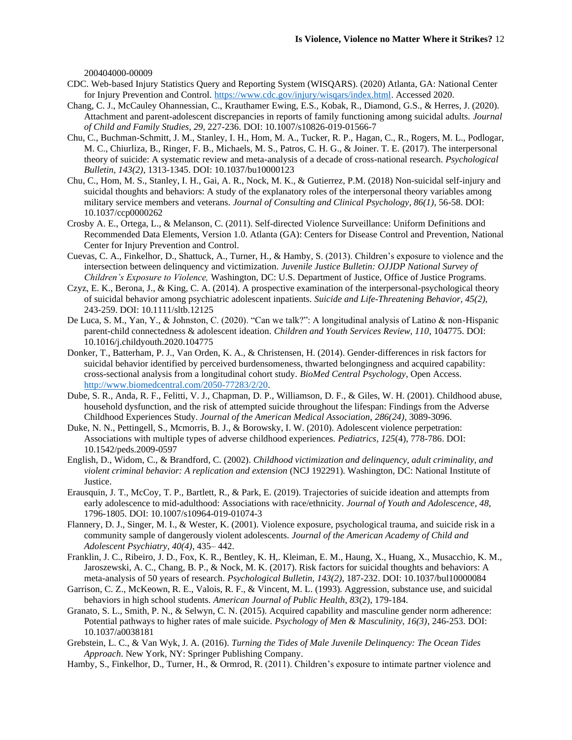200404000-00009

- CDC. Web-based Injury Statistics Query and Reporting System (WISQARS). (2020) Atlanta, GA: National Center for Injury Prevention and Control. [https://www.cdc.gov/injury/wisqars/index.html.](https://www.cdc.gov/injury/wisqars/index.html) Accessed 2020.
- Chang, C. J., McCauley Ohannessian, C., Krauthamer Ewing, E.S., Kobak, R., Diamond, G.S., & Herres, J. (2020). Attachment and parent-adolescent discrepancies in reports of family functioning among suicidal adults. *Journal of Child and Family Studies, 29*, 227-236. DOI: 10.1007/s10826-019-01566-7
- Chu, C., Buchman-Schmitt, J. M., Stanley, I. H., Hom, M. A., Tucker, R. P., Hagan, C., R., Rogers, M. L., Podlogar, M. C., Chiurliza, B., Ringer, F. B., Michaels, M. S., Patros, C. H. G., & Joiner. T. E. (2017). The interpersonal theory of suicide: A systematic review and meta-analysis of a decade of cross-national research. *Psychological Bulletin, 143(2),* 1313-1345. DOI: 10.1037/bu10000123
- Chu, C., Hom, M. S., Stanley, I. H., Gai, A. R., Nock, M. K., & Gutierrez, P.M. (2018) Non-suicidal self-injury and suicidal thoughts and behaviors: A study of the explanatory roles of the interpersonal theory variables among military service members and veterans. *Journal of Consulting and Clinical Psychology, 86(1)*, 56-58. DOI: 10.1037/ccp0000262
- Crosby A. E., Ortega, L., & Melanson, C. (2011). Self-directed Violence Surveillance: Uniform Definitions and Recommended Data Elements, Version 1.0. Atlanta (GA): Centers for Disease Control and Prevention, National Center for Injury Prevention and Control.
- Cuevas, C. A., Finkelhor, D., Shattuck, A., Turner, H., & Hamby, S. (2013). Children's exposure to violence and the intersection between delinquency and victimization. *Juvenile Justice Bulletin: OJJDP National Survey of Children's Exposure to Violence,* Washington, DC: U.S. Department of Justice, Office of Justice Programs.
- Czyz, E. K., Berona, J., & King, C. A. (2014). A prospective examination of the interpersonal-psychological theory of suicidal behavior among psychiatric adolescent inpatients. *Suicide and Life-Threatening Behavior, 45(2),* 243-259. DOI: 10.1111/sltb.12125
- De Luca, S. M., Yan, Y., & Johnston, C. (2020). "Can we talk?": A longitudinal analysis of Latino & non-Hispanic parent-child connectedness & adolescent ideation. *Children and Youth Services Review, 110*, 104775. DOI: 10.1016/j.childyouth.2020.104775
- Donker, T., Batterham, P. J., Van Orden, K. A., & Christensen, H. (2014). Gender-differences in risk factors for suicidal behavior identified by perceived burdensomeness, thwarted belongingness and acquired capability: cross-sectional analysis from a longitudinal cohort study. *BioMed Central Psychology,* Open Access. [http://www.biomedcentral.com/2050-77283/2/20.](http://www.biomedcentral.com/2050-77283/2/20)
- Dube, S. R., Anda, R. F., Felitti, V. J., Chapman, D. P., Williamson, D. F., & Giles, W. H. (2001). Childhood abuse, household dysfunction, and the risk of attempted suicide throughout the lifespan: Findings from the Adverse Childhood Experiences Study. *Journal of the American Medical Association, 286(24)*, 3089-3096.
- Duke, N. N., Pettingell, S., Mcmorris, B. J., & Borowsky, I. W. (2010). Adolescent violence perpetration: Associations with multiple types of adverse childhood experiences. *Pediatrics, 125*(4), 778-786. DOI: 10.1542/peds.2009-0597
- English, D., Widom, C., & Brandford, C. (2002). *Childhood victimization and delinquency, adult criminality, and violent criminal behavior: A replication and extension* (NCJ 192291). Washington, DC: National Institute of Justice.
- Erausquin, J. T., McCoy, T. P., Bartlett, R., & Park, E. (2019). Trajectories of suicide ideation and attempts from early adolescence to mid-adulthood: Associations with race/ethnicity. *Journal of Youth and Adolescence, 48*, 1796-1805. DOI: 10.1007/s10964-019-01074-3
- Flannery, D. J., Singer, M. I., & Wester, K. (2001). Violence exposure, psychological trauma, and suicide risk in a community sample of dangerously violent adolescents. *Journal of the American Academy of Child and Adolescent Psychiatry*, *40(4)*, 435– 442.
- Franklin, J. C., Ribeiro, J. D., Fox, K. R., Bentley, K. H,. Kleiman, E. M., Haung, X., Huang, X., Musacchio, K. M., Jaroszewski, A. C., Chang, B. P., & Nock, M. K. (2017). Risk factors for suicidal thoughts and behaviors: A meta-analysis of 50 years of research. *Psychological Bulletin, 143(2)*, 187-232. DOI: 10.1037/bul10000084
- Garrison, C. Z., McKeown, R. E., Valois, R. F., & Vincent, M. L. (1993). Aggression, substance use, and suicidal behaviors in high school students. *American Journal of Public Health, 83*(2), 179-184.
- Granato, S. L., Smith, P. N., & Selwyn, C. N. (2015). Acquired capability and masculine gender norm adherence: Potential pathways to higher rates of male suicide. *Psychology of Men & Masculinity, 16(3)*, 246-253. DOI: 10.1037/a0038181
- Grebstein, L. C., & Van Wyk, J. A. (2016). *Turning the Tides of Male Juvenile Delinquency: The Ocean Tides Approach*. New York, NY: Springer Publishing Company.
- Hamby, S., Finkelhor, D., Turner, H., & Ormrod, R. (2011). Children's exposure to intimate partner violence and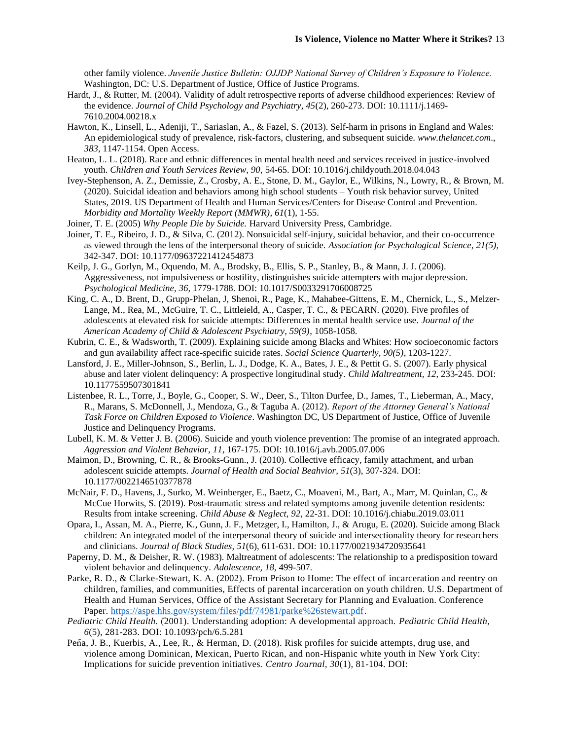other family violence. *Juvenile Justice Bulletin: OJJDP National Survey of Children's Exposure to Violence.* Washington, DC: U.S. Department of Justice, Office of Justice Programs.

- Hardt, J., & Rutter, M. (2004). Validity of adult retrospective reports of adverse childhood experiences: Review of the evidence. *Journal of Child Psychology and Psychiatry, 45*(2), 260-273[. DOI: 10.1111/j.1469-](https://doi.org/10.1111/j.1469-7610.2004.00218.x) [7610.2004.00218.x](https://doi.org/10.1111/j.1469-7610.2004.00218.x)
- Hawton, K., Linsell, L., Adeniji, T., Sariaslan, A., & Fazel, S. (2013). Self-harm in prisons in England and Wales: An epidemiological study of prevalence, risk-factors, clustering, and subsequent suicide. *[www.thelancet.com](http://www.thelancet.com/)*., *383*, 1147-1154. Open Access.
- Heaton, L. L. (2018). Race and ethnic differences in mental health need and services received in justice-involved youth. *Children and Youth Services Review, 90,* 54-65. DOI: 10.1016/j.childyouth.2018.04.043
- Ivey-Stephenson, A. Z., Demissie, Z., Crosby, A. E., Stone, D. M., Gaylor, E., Wilkins, N., Lowry, R., & Brown, M. (2020). Suicidal ideation and behaviors among high school students – Youth risk behavior survey, United States, 2019. US Department of Health and Human Services/Centers for Disease Control and Prevention. *Morbidity and Mortality Weekly Report (MMWR)*, *61*(1), 1-55.
- Joiner, T. E. (2005) *Why People Die by Suicide.* Harvard University Press, Cambridge.
- Joiner, T. E., Ribeiro, J. D., & Silva, C. (2012). Nonsuicidal self-injury, suicidal behavior, and their co-occurrence as viewed through the lens of the interpersonal theory of suicide. *Association for Psychological Science, 21(5),*  342-347. DOI: 10.1177/09637221412454873
- Keilp, J. G., Gorlyn, M., Oquendo, M. A., Brodsky, B., Ellis, S. P., Stanley, B., & Mann, J. J. (2006). Aggressiveness, not impulsiveness or hostility, distinguishes suicide attempters with major depression. *Psychological Medicine, 36*, 1779-1788. DOI: 10.1017/S0033291706008725
- King, C. A., D. Brent, D., Grupp-Phelan, J, Shenoi, R., Page, K., Mahabee-Gittens, E. M., Chernick, L., S., Melzer-Lange, M., Rea, M., McGuire, T. C., Littleield, A., Casper, T. C., & PECARN. (2020). Five profiles of adolescents at elevated risk for suicide attempts: Differences in mental health service use. *Journal of the American Academy of Child & Adolescent Psychiatry, 59(9)*, 1058-1058.
- Kubrin, C. E., & Wadsworth, T. (2009). Explaining suicide among Blacks and Whites: How socioeconomic factors and gun availability affect race-specific suicide rates. *Social Science Quarterly, 90(5)*, 1203-1227.
- Lansford, J. E., Miller-Johnson, S., Berlin, L. J., Dodge, K. A., Bates, J. E., & Pettit G. S. (2007). Early physical abuse and later violent delinquency: A prospective longitudinal study. *Child Maltreatment, 12*, 233-245. DOI: 10.1177559507301841
- Listenbee, R. L., Torre, J., Boyle, G., Cooper, S. W., Deer, S., Tilton Durfee, D., James, T., Lieberman, A., Macy, R., Marans, S. McDonnell, J., Mendoza, G., & Taguba A. (2012). *Report of the Attorney General's National Task Force on Children Exposed to Violence*. Washington DC, US Department of Justice, Office of Juvenile Justice and Delinquency Programs.
- Lubell, K. M. & Vetter J. B. (2006). Suicide and youth violence prevention: The promise of an integrated approach. *Aggression and Violent Behavior, 11*, 167-175. DOI: 10.1016/j.avb.2005.07.006
- Maimon, D., Browning, C. R., & Brooks-Gunn., J. (2010). Collective efficacy, family attachment, and urban adolescent suicide attempts. *Journal of Health and Social Beahvior, 51*(3), 307-324. DOI: 10.1177/0022146510377878
- McNair, F. D., Havens, J., Surko, M. Weinberger, E., Baetz, C., Moaveni, M., Bart, A., Marr, M. Quinlan, C., & McCue Horwits, S. (2019). Post-traumatic stress and related symptoms among juvenile detention residents: Results from intake screening. *Child Abuse & Neglect, 92*, 22-31. DOI: 10.1016/j.chiabu.2019.03.011
- Opara, I., Assan, M. A., Pierre, K., Gunn, J. F., Metzger, I., Hamilton, J., & Arugu, E. (2020). Suicide among Black children: An integrated model of the interpersonal theory of suicide and intersectionality theory for researchers and clinicians. *Journal of Black Studies, 51*(6), 611-631. DOI: 10.1177/0021934720935641
- Paperny, D. M., & Deisher, R. W. (1983). Maltreatment of adolescents: The relationship to a predisposition toward violent behavior and delinquency. *Adolescence, 18*, 499-507.
- Parke, R. D., & Clarke-Stewart, K. A. (2002). From Prison to Home: The effect of incarceration and reentry on children, families, and communities, Effects of parental incarceration on youth children. U.S. Department of Health and Human Services, Office of the Assistant Secretary for Planning and Evaluation. Conference Paper. [https://aspe.hhs.gov/system/files/pdf/74981/parke%26stewart.pdf.](https://aspe.hhs.gov/system/files/pdf/74981/parke%26stewart.pdf)
- *Pediatric Child Health.* (2001). Understanding adoption: A developmental approach. *Pediatric Child Health*, *6*(5), 281-283. DOI: 10.1093/pch/6.5.281
- Peña, J. B., Kuerbis, A., Lee, R., & Herman, D. (2018). Risk profiles for suicide attempts, drug use, and violence among Dominican, Mexican, Puerto Rican, and non-Hispanic white youth in New York City: Implications for suicide prevention initiatives. *Centro Journal, 30*(1), 81-104. DOI: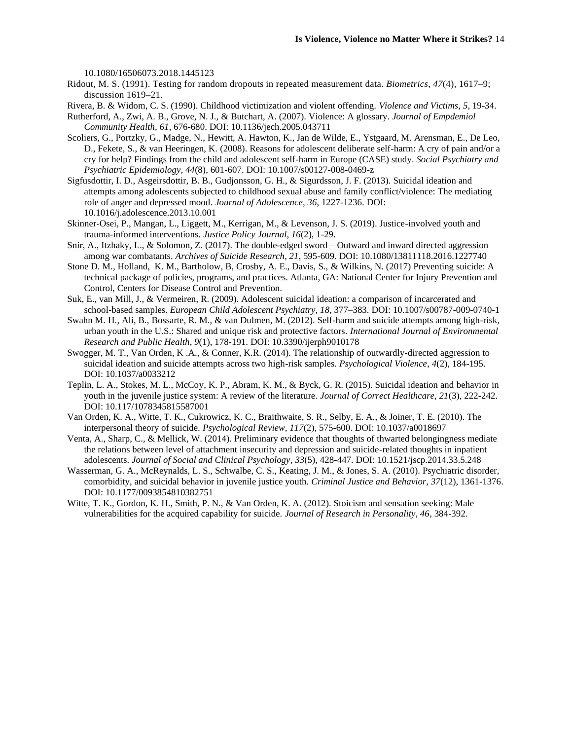10.1080/16506073.2018.1445123

Ridout, M. S. (1991). Testing for random dropouts in repeated measurement data. *Biometrics, 47*(4), 1617–9; discussion 1619–21.

Rivera, B. & Widom, C. S. (1990). Childhood victimization and violent offending. *Violence and Victims, 5*, 19-34.

- Rutherford, A., Zwi, A. B., Grove, N. J., & Butchart, A. (2007). Violence: A glossary. *Journal of Empdemiol Community Health, 61*, 676-680. DOI: 10.1136/jech.2005.043711
- Scoliers, G., Portzky, G., Madge, N., Hewitt, A. Hawton, K., Jan de Wilde, E., Ystgaard, M. Arensman, E., De Leo, D., Fekete, S., & van Heeringen, K. (2008). Reasons for adolescent deliberate self-harm: A cry of pain and/or a cry for help? Findings from the child and adolescent self-harm in Europe (CASE) study. *Social Psychiatry and Psychiatric Epidemiology, 44*(8), 601-607. DOI: 10.1007/s00127-008-0469-z
- Sigfusdottir, I. D., Asgeirsdottir, B. B., Gudjonsson, G. H., & Sigurdsson, J. F. (2013). Suicidal ideation and attempts among adolescents subjected to childhood sexual abuse and family conflict/violence: The mediating role of anger and depressed mood. *Journal of Adolescence, 36*, 1227-1236. DOI: 10.1016/j.adolescence.2013.10.001
- Skinner-Osei, P., Mangan, L., Liggett, M., Kerrigan, M., & Levenson, J. S. (2019). Justice-involved youth and trauma-informed interventions. *Justice Policy Journal, 16*(2), 1-29.
- Snir, A., Itzhaky, L., & Solomon, Z. (2017). The double-edged sword Outward and inward directed aggression among war combatants. *Archives of Suicide Research, 21*, 595-609. DOI: 10.1080/13811118.2016.1227740
- Stone D. M., Holland, K. M., Bartholow, B, Crosby, A. E., Davis, S., & Wilkins, N. (2017) Preventing suicide: A technical package of policies, programs, and practices. Atlanta, GA: National Center for Injury Prevention and Control, Centers for Disease Control and Prevention.
- Suk, E., van Mill, J., & Vermeiren, R. (2009). Adolescent suicidal ideation: a comparison of incarcerated and school-based samples. *European Child Adolescent Psychiatry, 18*, 377–383. DOI: 10.1007/s00787-009-0740-1
- Swahn M. H., Ali, B., Bossarte, R. M., & van Dulmen, M. (2012). Self-harm and suicide attempts among high-risk, urban youth in the U.S.: Shared and unique risk and protective factors. *International Journal of Environmental Research and Public Health, 9*(1), 178-191. DOI: 10.3390/ijerph9010178
- Swogger, M. T., Van Orden, K .A., & Conner, K.R. (2014). The relationship of outwardly-directed aggression to suicidal ideation and suicide attempts across two high-risk samples. *Psychological Violence, 4*(2), 184-195. DOI: 10.1037/a0033212
- Teplin, L. A., Stokes, M. L., McCoy, K. P., Abram, K. M., & Byck, G. R. (2015). Suicidal ideation and behavior in youth in the juvenile justice system: A review of the literature. *Journal of Correct Healthcare, 21*(3), 222-242. DOI: 10.117/1078345815587001
- Van Orden, K. A., Witte, T. K., Cukrowicz, K. C., Braithwaite, S. R., Selby, E. A., & Joiner, T. E. (2010). The interpersonal theory of suicide. *Psychological Review, 117*(2), 575-600. DOI: 10.1037/a0018697
- Venta, A., Sharp, C., & Mellick, W. (2014). Preliminary evidence that thoughts of thwarted belongingness mediate the relations between level of attachment insecurity and depression and suicide-related thoughts in inpatient adolescents. *Journal of Social and Clinical Psychology, 33*(5), 428-447. DOI: 10.1521/jscp.2014.33.5.248
- Wasserman, G. A., McReynalds, L. S., Schwalbe, C. S., Keating, J. M., & Jones, S. A. (2010). Psychiatric disorder, comorbidity, and suicidal behavior in juvenile justice youth. *Criminal Justice and Behavior, 37*(12), 1361-1376. DOI: 10.1177/0093854810382751
- Witte, T. K., Gordon, K. H., Smith, P. N., & Van Orden, K. A. (2012). Stoicism and sensation seeking: Male vulnerabilities for the acquired capability for suicide. *Journal of Research in Personality, 46*, 384-392.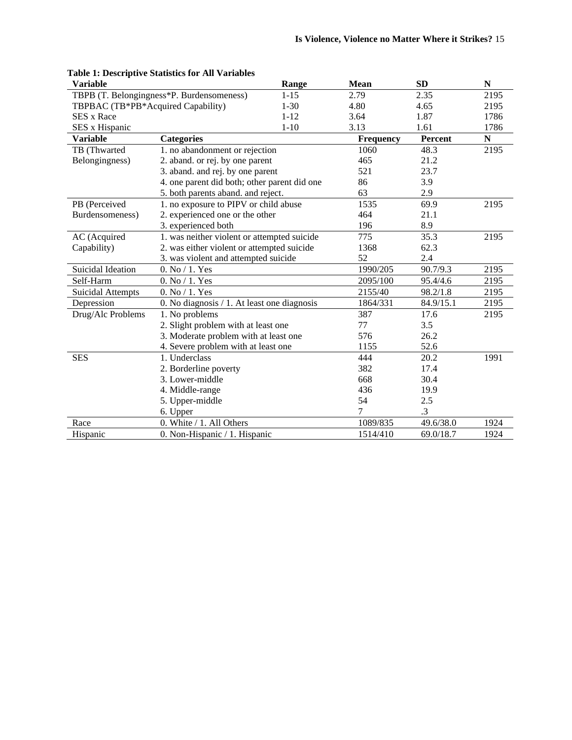| <b>Variable</b>                    |                                                | Range    | <b>Mean</b>      | <b>SD</b> | N         |
|------------------------------------|------------------------------------------------|----------|------------------|-----------|-----------|
|                                    | TBPB (T. Belongingness*P. Burdensomeness)      | $1 - 15$ | 2.79             | 2.35      | 2195      |
| TBPBAC (TB*PB*Acquired Capability) |                                                | $1 - 30$ | 4.80             | 4.65      | 2195      |
| <b>SES x Race</b>                  |                                                | $1 - 12$ | 3.64             | 1.87      | 1786      |
| SES x Hispanic                     |                                                | $1 - 10$ | 3.13             | 1.61      | 1786      |
| <b>Variable</b>                    | <b>Categories</b>                              |          | <b>Frequency</b> | Percent   | ${\bf N}$ |
| TB (Thwarted                       | 1. no abandonment or rejection                 |          | 1060             | 48.3      | 2195      |
| Belongingness)                     | 2. aband. or rej. by one parent                |          | 465              | 21.2      |           |
|                                    | 3. aband. and rej. by one parent               |          | 521              | 23.7      |           |
|                                    | 4. one parent did both; other parent did one   |          | 86               | 3.9       |           |
|                                    | 5. both parents aband. and reject.             |          | 63               | 2.9       |           |
| PB (Perceived                      | 1. no exposure to PIPV or child abuse          |          | 1535             | 69.9      | 2195      |
| Burdensomeness)                    | 2. experienced one or the other                |          | 464              | 21.1      |           |
|                                    | 3. experienced both                            |          | 196              | 8.9       |           |
| AC (Acquired                       | 1. was neither violent or attempted suicide    |          | 775              | 35.3      | 2195      |
| Capability)                        | 2. was either violent or attempted suicide     |          | 1368             | 62.3      |           |
|                                    | 3. was violent and attempted suicide           |          | 52               | 2.4       |           |
| Suicidal Ideation                  | $0.$ No $/$ 1. Yes                             |          | 1990/205         | 90.7/9.3  | 2195      |
| Self-Harm                          | 0. No / 1. Yes                                 |          | 2095/100         | 95.4/4.6  | 2195      |
| <b>Suicidal Attempts</b>           | $0.$ No $/$ 1. Yes                             |          | 2155/40          | 98.2/1.8  | 2195      |
| Depression                         | 0. No diagnosis $/ 1$ . At least one diagnosis |          | 1864/331         | 84.9/15.1 | 2195      |
| Drug/Alc Problems                  | 1. No problems                                 |          | 387              | 17.6      | 2195      |
|                                    | 2. Slight problem with at least one            |          | 77               | 3.5       |           |
|                                    | 3. Moderate problem with at least one          |          | 576              | 26.2      |           |
|                                    | 4. Severe problem with at least one            |          | 1155             | 52.6      |           |
| <b>SES</b>                         | 1. Underclass                                  |          | 444              | 20.2      | 1991      |
|                                    | 2. Borderline poverty                          |          | 382              | 17.4      |           |
|                                    | 3. Lower-middle                                |          | 668              | 30.4      |           |
|                                    | 4. Middle-range                                |          | 436              | 19.9      |           |
|                                    | 5. Upper-middle                                |          | 54               | 2.5       |           |
|                                    | 6. Upper                                       |          | 7                | $\cdot$ 3 |           |
| Race                               | 0. White / 1. All Others                       |          | 1089/835         | 49.6/38.0 | 1924      |
| Hispanic                           | 0. Non-Hispanic / 1. Hispanic                  |          | 1514/410         | 69.0/18.7 | 1924      |

# **Table 1: Descriptive Statistics for All Variables**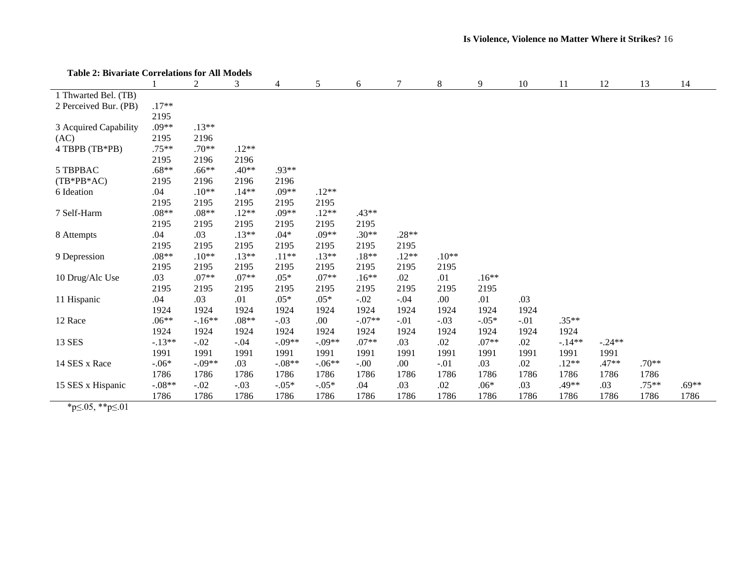| Table 2: Bivariate Correlations for All Models |          |          |         |          |          |          |         |         |         |        |          |          |         |         |
|------------------------------------------------|----------|----------|---------|----------|----------|----------|---------|---------|---------|--------|----------|----------|---------|---------|
|                                                |          | 2        | 3       | 4        | 5        | 6        | 7       | $\,8$   | 9       | 10     | 11       | 12       | 13      | 14      |
| 1 Thwarted Bel. (TB)                           |          |          |         |          |          |          |         |         |         |        |          |          |         |         |
| 2 Perceived Bur. (PB)                          | $.17**$  |          |         |          |          |          |         |         |         |        |          |          |         |         |
|                                                | 2195     |          |         |          |          |          |         |         |         |        |          |          |         |         |
| 3 Acquired Capability                          | $.09**$  | $.13**$  |         |          |          |          |         |         |         |        |          |          |         |         |
| (AC)                                           | 2195     | 2196     |         |          |          |          |         |         |         |        |          |          |         |         |
| 4 TBPB (TB*PB)                                 | $.75**$  | $.70**$  | $.12**$ |          |          |          |         |         |         |        |          |          |         |         |
|                                                | 2195     | 2196     | 2196    |          |          |          |         |         |         |        |          |          |         |         |
| 5 TBPBAC                                       | $.68**$  | $.66**$  | $.40**$ | .93**    |          |          |         |         |         |        |          |          |         |         |
| $(TB*PB*AC)$                                   | 2195     | 2196     | 2196    | 2196     |          |          |         |         |         |        |          |          |         |         |
| 6 Ideation                                     | .04      | $.10**$  | $.14**$ | $.09**$  | $.12**$  |          |         |         |         |        |          |          |         |         |
|                                                | 2195     | 2195     | 2195    | 2195     | 2195     |          |         |         |         |        |          |          |         |         |
| 7 Self-Harm                                    | $.08**$  | $.08**$  | $.12**$ | $.09**$  | $.12**$  | $.43**$  |         |         |         |        |          |          |         |         |
|                                                | 2195     | 2195     | 2195    | 2195     | 2195     | 2195     |         |         |         |        |          |          |         |         |
| 8 Attempts                                     | .04      | .03      | $.13**$ | $.04*$   | $.09**$  | $.30**$  | $.28**$ |         |         |        |          |          |         |         |
|                                                | 2195     | 2195     | 2195    | 2195     | 2195     | 2195     | 2195    |         |         |        |          |          |         |         |
| 9 Depression                                   | $.08**$  | $.10**$  | $.13**$ | $.11**$  | $.13**$  | $.18**$  | $.12**$ | $.10**$ |         |        |          |          |         |         |
|                                                | 2195     | 2195     | 2195    | 2195     | 2195     | 2195     | 2195    | 2195    |         |        |          |          |         |         |
| 10 Drug/Alc Use                                | .03      | $.07**$  | $.07**$ | $.05*$   | $.07**$  | $.16**$  | .02     | .01     | $.16**$ |        |          |          |         |         |
|                                                | 2195     | 2195     | 2195    | 2195     | 2195     | 2195     | 2195    | 2195    | 2195    |        |          |          |         |         |
| 11 Hispanic                                    | .04      | .03      | .01     | $.05*$   | $.05*$   | $-.02$   | $-.04$  | .00     | .01     | .03    |          |          |         |         |
|                                                | 1924     | 1924     | 1924    | 1924     | 1924     | 1924     | 1924    | 1924    | 1924    | 1924   |          |          |         |         |
| 12 Race                                        | $.06**$  | $-.16**$ | $.08**$ | $-.03$   | .00      | $-.07**$ | $-.01$  | $-.03$  | $-.05*$ | $-.01$ | $.35**$  |          |         |         |
|                                                | 1924     | 1924     | 1924    | 1924     | 1924     | 1924     | 1924    | 1924    | 1924    | 1924   | 1924     |          |         |         |
| 13 SES                                         | $-.13**$ | $-.02$   | $-.04$  | $-.09**$ | $-.09**$ | $.07**$  | .03     | .02     | $.07**$ | .02    | $-.14**$ | $-.24**$ |         |         |
|                                                | 1991     | 1991     | 1991    | 1991     | 1991     | 1991     | 1991    | 1991    | 1991    | 1991   | 1991     | 1991     |         |         |
| 14 SES x Race                                  | $-.06*$  | $-.09**$ | .03     | $-.08**$ | $-.06**$ | $-.00$   | .00.    | $-.01$  | .03     | .02    | $.12**$  | $.47**$  | $.70**$ |         |
|                                                | 1786     | 1786     | 1786    | 1786     | 1786     | 1786     | 1786    | 1786    | 1786    | 1786   | 1786     | 1786     | 1786    |         |
| 15 SES x Hispanic                              | $-.08**$ | $-.02$   | $-.03$  | $-.05*$  | $-.05*$  | .04      | .03     | .02     | $.06*$  | .03    | .49**    | .03      | $.75**$ | $.69**$ |
|                                                | 1786     | 1786     | 1786    | 1786     | 1786     | 1786     | 1786    | 1786    | 1786    | 1786   | 1786     | 1786     | 1786    | 1786    |

**Table 2: Bivariate Correlations for All Models**

\*p≤.05, \*\*p≤.01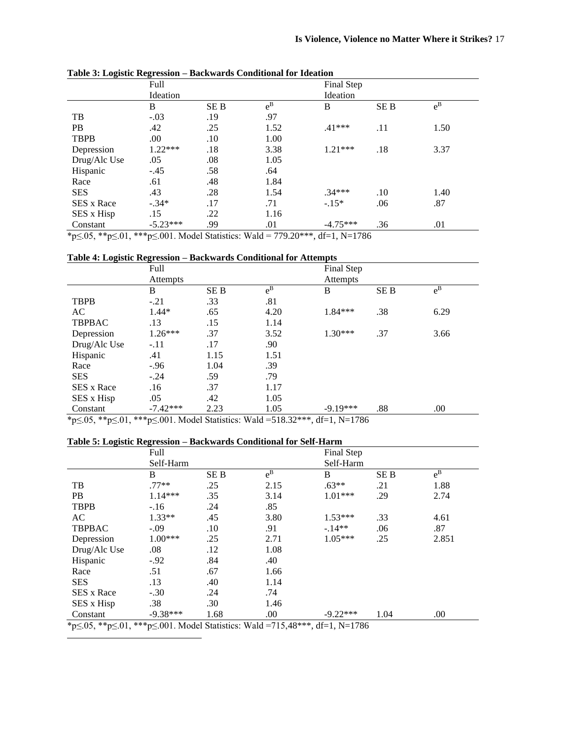|              | Full       |            |         | Final Step |            |         |  |  |
|--------------|------------|------------|---------|------------|------------|---------|--|--|
|              | Ideation   |            |         | Ideation   |            |         |  |  |
|              | B          | <b>SEB</b> | $e^{B}$ | B          | <b>SEB</b> | $e^{B}$ |  |  |
| TB           | $-.03$     | .19        | .97     |            |            |         |  |  |
| <b>PB</b>    | .42        | .25        | 1.52    | $.41***$   | .11        | 1.50    |  |  |
| <b>TBPB</b>  | .00        | .10        | 1.00    |            |            |         |  |  |
| Depression   | $1.22***$  | .18        | 3.38    | $1.21***$  | .18        | 3.37    |  |  |
| Drug/Alc Use | .05        | .08        | 1.05    |            |            |         |  |  |
| Hispanic     | $-.45$     | .58        | .64     |            |            |         |  |  |
| Race         | .61        | .48        | 1.84    |            |            |         |  |  |
| <b>SES</b>   | .43        | .28        | 1.54    | $.34***$   | .10        | 1.40    |  |  |
| SES x Race   | $-.34*$    | .17        | .71     | $-.15*$    | .06        | .87     |  |  |
| SES x Hisp   | .15        | .22        | 1.16    |            |            |         |  |  |
| Constant     | $-5.23***$ | .99        | .01     | $-4.75***$ | .36        | .01     |  |  |

**Table 3: Logistic Regression – Backwards Conditional for Ideation**

\*p≤.05, \*\*p≤.01, \*\*\*p≤.001. Model Statistics: Wald = 779.20\*\*\*, df=1, N=1786

# **Table 4: Logistic Regression – Backwards Conditional for Attempts**

| rasic in Eugenic Augustion                                                                                                                                                                                                                                                                                        |                 |            | conditional for recently to |                                                                                            |            |         |  |  |
|-------------------------------------------------------------------------------------------------------------------------------------------------------------------------------------------------------------------------------------------------------------------------------------------------------------------|-----------------|------------|-----------------------------|--------------------------------------------------------------------------------------------|------------|---------|--|--|
|                                                                                                                                                                                                                                                                                                                   | Full            |            |                             | Final Step                                                                                 |            |         |  |  |
|                                                                                                                                                                                                                                                                                                                   | <b>Attempts</b> |            |                             | Attempts                                                                                   |            |         |  |  |
|                                                                                                                                                                                                                                                                                                                   | B               | <b>SEB</b> | $e^{B}$                     | B                                                                                          | <b>SEB</b> | $e^{B}$ |  |  |
| <b>TBPB</b>                                                                                                                                                                                                                                                                                                       | $-.21$          | .33        | .81                         |                                                                                            |            |         |  |  |
| AC                                                                                                                                                                                                                                                                                                                | $1.44*$         | .65        | 4.20                        | 1.84***                                                                                    | .38        | 6.29    |  |  |
| <b>TBPBAC</b>                                                                                                                                                                                                                                                                                                     | .13             | .15        | 1.14                        |                                                                                            |            |         |  |  |
| Depression                                                                                                                                                                                                                                                                                                        | $1.26***$       | .37        | 3.52                        | $1.30***$                                                                                  | .37        | 3.66    |  |  |
| Drug/Alc Use                                                                                                                                                                                                                                                                                                      | $-.11$          | .17        | .90                         |                                                                                            |            |         |  |  |
| Hispanic                                                                                                                                                                                                                                                                                                          | .41             | 1.15       | 1.51                        |                                                                                            |            |         |  |  |
| Race                                                                                                                                                                                                                                                                                                              | $-0.96$         | 1.04       | .39                         |                                                                                            |            |         |  |  |
| <b>SES</b>                                                                                                                                                                                                                                                                                                        | $-.24$          | .59        | .79                         |                                                                                            |            |         |  |  |
| <b>SES x Race</b>                                                                                                                                                                                                                                                                                                 | .16             | .37        | 1.17                        |                                                                                            |            |         |  |  |
| SES x Hisp                                                                                                                                                                                                                                                                                                        | .05             | .42        | 1.05                        |                                                                                            |            |         |  |  |
| Constant                                                                                                                                                                                                                                                                                                          | $-7.42***$      | 2.23       | 1.05                        | $-9.19***$                                                                                 | .88        | .00     |  |  |
| $\mathcal{A}$ and $\mathcal{A}$ and $\mathcal{A}$ and $\mathcal{A}$ and $\mathcal{A}$ and $\mathcal{A}$ and $\mathcal{A}$ and $\mathcal{A}$ and $\mathcal{A}$ and $\mathcal{A}$ and $\mathcal{A}$ and $\mathcal{A}$ and $\mathcal{A}$ and $\mathcal{A}$ and $\mathcal{A}$ and $\mathcal{A}$ and $\mathcal{A}$ and |                 |            | <b>TTT</b> 1 1              | $\overline{a}$ and $\overline{a}$ and $\overline{a}$ and $\overline{a}$ and $\overline{a}$ |            |         |  |  |

\*p≤.05, \*\*p≤.01, \*\*\*p≤.001. Model Statistics: Wald =518.32\*\*\*, df=1, N=1786

#### **Table 5: Logistic Regression – Backwards Conditional for Self-Harm**

|               | Full       |            |         | Final Step |            |         |  |  |
|---------------|------------|------------|---------|------------|------------|---------|--|--|
|               | Self-Harm  |            |         | Self-Harm  |            |         |  |  |
|               | B          | <b>SEB</b> | $e^{B}$ | B          | <b>SEB</b> | $e^{B}$ |  |  |
| TB            | $.77**$    | .25        | 2.15    | $.63**$    | .21        | 1.88    |  |  |
| <b>PB</b>     | $1.14***$  | .35        | 3.14    | $1.01***$  | .29        | 2.74    |  |  |
| <b>TBPB</b>   | $-.16$     | .24        | .85     |            |            |         |  |  |
| AC            | $1.33**$   | .45        | 3.80    | $1.53***$  | .33        | 4.61    |  |  |
| <b>TBPBAC</b> | $-.09$     | $.10\,$    | .91     | $-.14**$   | .06        | .87     |  |  |
| Depression    | 1.00***    | .25        | 2.71    | $1.05***$  | .25        | 2.851   |  |  |
| Drug/Alc Use  | .08        | .12        | 1.08    |            |            |         |  |  |
| Hispanic      | $-.92$     | .84        | .40     |            |            |         |  |  |
| Race          | .51        | .67        | 1.66    |            |            |         |  |  |
| <b>SES</b>    | .13        | .40        | 1.14    |            |            |         |  |  |
| SES x Race    | $-.30$     | .24        | .74     |            |            |         |  |  |
| SES x Hisp    | .38        | .30        | 1.46    |            |            |         |  |  |
| Constant      | $-9.38***$ | 1.68       | .00     | $-9.22***$ | 1.04       | .00     |  |  |

\*p≤.05, \*\*p≤.01, \*\*\*p≤.001. Model Statistics: Wald =715,48\*\*\*, df=1, N=1786